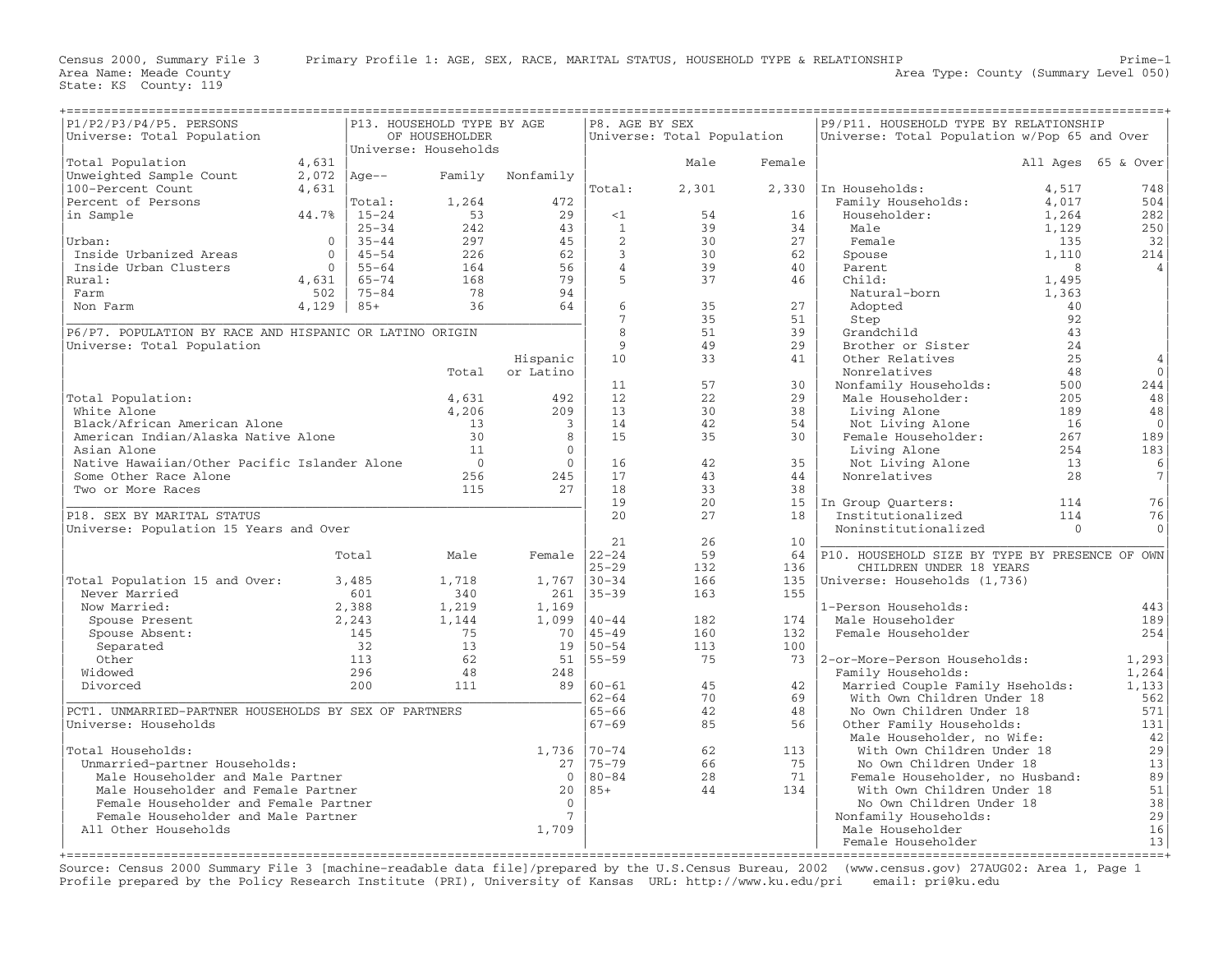| P1/P2/P3/P4/P5. PERSONS                                 |                |           | P13. HOUSEHOLD TYPE BY AGE              |                  | P8. AGE BY SEX          | ==================         |        | P9/P11. HOUSEHOLD TYPE BY RELATIONSHIP         |          |                    |
|---------------------------------------------------------|----------------|-----------|-----------------------------------------|------------------|-------------------------|----------------------------|--------|------------------------------------------------|----------|--------------------|
|                                                         |                |           | OF HOUSEHOLDER                          |                  |                         |                            |        |                                                |          |                    |
| Universe: Total Population                              |                |           | Universe: Households                    |                  |                         | Universe: Total Population |        | Universe: Total Population w/Pop 65 and Over   |          |                    |
| Total Population                                        | 4,631          |           |                                         |                  |                         | Male                       | Female |                                                |          | All Ages 65 & Over |
| Unweighted Sample Count                                 | $2,072$  Age-- |           |                                         | Family Nonfamily |                         |                            |        |                                                |          |                    |
| 100-Percent Count                                       | 4,631          |           |                                         |                  | Total:                  | 2,301                      |        | 2,330 In Households:                           | 4,517    | 748                |
|                                                         |                |           |                                         |                  |                         |                            |        |                                                |          |                    |
| Percent of Persons                                      |                | Total:    | 1,264<br>53                             | 472              |                         | 54                         |        | Family Households:                             | 4,017    | 504                |
| in Sample                                               | 44.7%          | $15 - 24$ |                                         | 29               | $\leq 1$                |                            | 16     | Householder:                                   | 1,264    | 282                |
|                                                         |                | $25 - 34$ | 242                                     | 43               | 1                       | 39                         | 34     | Male                                           | 1,129    | 250                |
| Urban:                                                  | $\Omega$       | $35 - 44$ | 297                                     | 45               | 2                       | 30                         | 27     | Female                                         | 135      | 32                 |
| Inside Urbanized Areas                                  | $\Omega$       | $45 - 54$ | 226                                     | 62               | $\overline{\mathbf{3}}$ | 30                         | 62     | Spouse                                         | 1,110    | 214                |
| Inside Urban Clusters                                   | $\Omega$       | $55 - 64$ | 164                                     | 56               | $\overline{4}$          | 39                         | 40     | Parent                                         | 8        | $\overline{4}$     |
| Rural:                                                  | 4,631          | $65 - 74$ | 168                                     | 79               | 5                       | 37                         | 46     | Child:                                         | 1,495    |                    |
| Farm                                                    | 502            | $75 - 84$ | 78                                      | 94               |                         |                            |        | Natural-born                                   | 1,363    |                    |
| Non Farm                                                | 4,129          | $85+$     | 36                                      | 64               | 6                       | 35                         | 27     | Adopted                                        | 40       |                    |
|                                                         |                |           |                                         |                  | $7\phantom{.0}$         | 35                         | 51     | Step                                           | 92       |                    |
| P6/P7. POPULATION BY RACE AND HISPANIC OR LATINO ORIGIN |                |           |                                         |                  | 8                       | 51                         | 39     | Grandchild                                     | 43       |                    |
| Universe: Total Population                              |                |           |                                         |                  | 9                       | 49                         | 2.9    | Brother or Sister                              | 24       |                    |
|                                                         |                |           |                                         | Hispanic         | 10                      | 33                         | 41     | Other Relatives                                | 25       | $\overline{4}$     |
|                                                         |                |           | Total                                   | or Latino        |                         |                            |        | Nonrelatives                                   | 48       | $\Omega$           |
|                                                         |                |           |                                         |                  | 11                      | 57                         | 30     | Nonfamily Households:                          | 500      | 244                |
| Total Population:                                       |                |           | 4,631                                   | 492              | 12                      | 22                         | 29     | Male Householder:                              | 205      | 48                 |
| White Alone                                             |                |           | 4,206                                   | 209              | 13                      | 30                         | 38     | Living Alone                                   | 189      | 48                 |
| Black/African American Alone                            |                |           |                                         | $\overline{3}$   | 14                      | 42                         | 54     | Not Living Alone                               | 16       | $\overline{0}$     |
| American Indian/Alaska Native Alone                     |                |           | $\begin{array}{c} 13 \\ 30 \end{array}$ | 8                | 15                      | 35                         | 30     | Female Householder:                            | 267      | 189                |
| Asian Alone                                             |                |           | 11                                      | $\overline{0}$   |                         |                            |        | Living Alone                                   | 254      | 183                |
| Native Hawaiian/Other Pacific Islander Alone            |                |           | $\overline{0}$                          | $\Omega$         | 16                      | 42                         | 35     | Not Living Alone                               | 13       | 6                  |
| Some Other Race Alone                                   |                |           |                                         | 245              | 17                      | 43                         | 44     | Nonrelatives                                   | 28       | $\overline{7}$     |
|                                                         |                |           | 256<br>115                              | 2.7              | 18                      | 33                         | 38     |                                                |          |                    |
| Two or More Races                                       |                |           |                                         |                  |                         |                            |        |                                                |          |                    |
|                                                         |                |           |                                         |                  | 19                      | 20                         |        | 15 In Group Quarters:                          | 114      | 76                 |
| P18. SEX BY MARITAL STATUS                              |                |           |                                         |                  | 20                      | 27                         | 18     | Institutionalized                              | 114      | 76                 |
| Universe: Population 15 Years and Over                  |                |           |                                         |                  |                         |                            |        | Noninstitutionalized                           | $\Omega$ | $\Omega$           |
|                                                         |                |           |                                         |                  | 21                      | 26                         | 10     |                                                |          |                    |
|                                                         |                | Total     | Male                                    | Female $ 22-24 $ |                         | 59                         | 64     | P10. HOUSEHOLD SIZE BY TYPE BY PRESENCE OF OWN |          |                    |
|                                                         |                |           |                                         |                  | $25 - 29$               | 132                        | 136    | CHILDREN UNDER 18 YEARS                        |          |                    |
| Total Population 15 and Over:                           |                | 3,485     | 1,718                                   | 1,767            | $30 - 34$               | 166                        | 135    | Universe: Households (1,736)                   |          |                    |
| Never Married                                           |                | 601       | 340                                     | 261 35-39        |                         | 163                        | 155    |                                                |          |                    |
| Now Married:                                            |                | 2,388     | 1,219                                   | 1,169            |                         |                            |        | 1-Person Households:                           |          | 443                |
| Spouse Present                                          |                | 2,243     | 1,144                                   | $1,099$ $ 40-44$ |                         | 182                        | 174    | Male Householder                               |          | 189                |
| Spouse Absent:                                          |                | 145       | 75                                      |                  | 70 45-49                | 160                        | 132    | Female Householder                             |          | 254                |
| Separated                                               |                | 32        | 13                                      |                  | 19 50-54                | 113                        | 100    |                                                |          |                    |
| Other                                                   |                | 113       | 62                                      |                  | 51 55-59                | 75                         |        | 73   2-or-More-Person Households:              |          | 1,293              |
| Widowed                                                 |                | 296       | 48                                      | 248              |                         |                            |        | Family Households:                             |          | 1,264              |
| Divorced                                                |                | 200       | 111                                     | 89 60-61         |                         | 45                         | 42     | Married Couple Family Hseholds:                |          | 1,133              |
|                                                         |                |           |                                         |                  | $62 - 64$               | 70                         | 69     | With Own Children Under 18                     |          | 562                |
| PCT1. UNMARRIED-PARTNER HOUSEHOLDS BY SEX OF PARTNERS   |                |           |                                         |                  | $65 - 66$               | 42                         | 48     | No Own Children Under 18                       |          | 571                |
| Universe: Households                                    |                |           |                                         |                  | $67 - 69$               | 85                         | 56     | Other Family Households:                       |          | 131                |
|                                                         |                |           |                                         |                  |                         |                            |        | Male Householder, no Wife:                     |          | 42                 |
| Total Households:                                       |                |           |                                         |                  | $1,736$  70-74          | 62                         | 113    | With Own Children Under 18                     |          | 29                 |
| Unmarried-partner Households:                           |                |           |                                         |                  | 27   75 - 79            | 66                         | 75     | No Own Children Under 18                       |          | 13                 |
|                                                         |                |           |                                         |                  | $0   80 - 84$           | 28                         | 71     |                                                |          |                    |
| Male Householder and Male Partner                       |                |           |                                         |                  |                         |                            |        | Female Householder, no Husband:                |          | 89                 |
| Male Householder and Female Partner                     |                |           |                                         | 20               | $ 85+$                  | 44                         | 134    | With Own Children Under 18                     |          | 51                 |
| Female Householder and Female Partner                   |                |           |                                         | $\Omega$         |                         |                            |        | No Own Children Under 18                       |          | 38                 |
| Female Householder and Male Partner                     |                |           |                                         | $7\phantom{.0}$  |                         |                            |        | Nonfamily Households:                          |          | 29                 |
| All Other Households                                    |                |           |                                         | 1,709            |                         |                            |        | Male Householder                               |          | 16                 |
|                                                         |                |           |                                         |                  |                         |                            |        | Female Householder                             |          | 13                 |
|                                                         |                |           |                                         |                  |                         |                            |        |                                                |          |                    |

Source: Census 2000 Summary File 3 [machine−readable data file]/prepared by the U.S.Census Bureau, 2002 (www.census.gov) 27AUG02: Area 1, Page 1 Profile prepared by the Policy Research Institute (PRI), University of Kansas URL: http://www.ku.edu/pri email: pri@ku.edu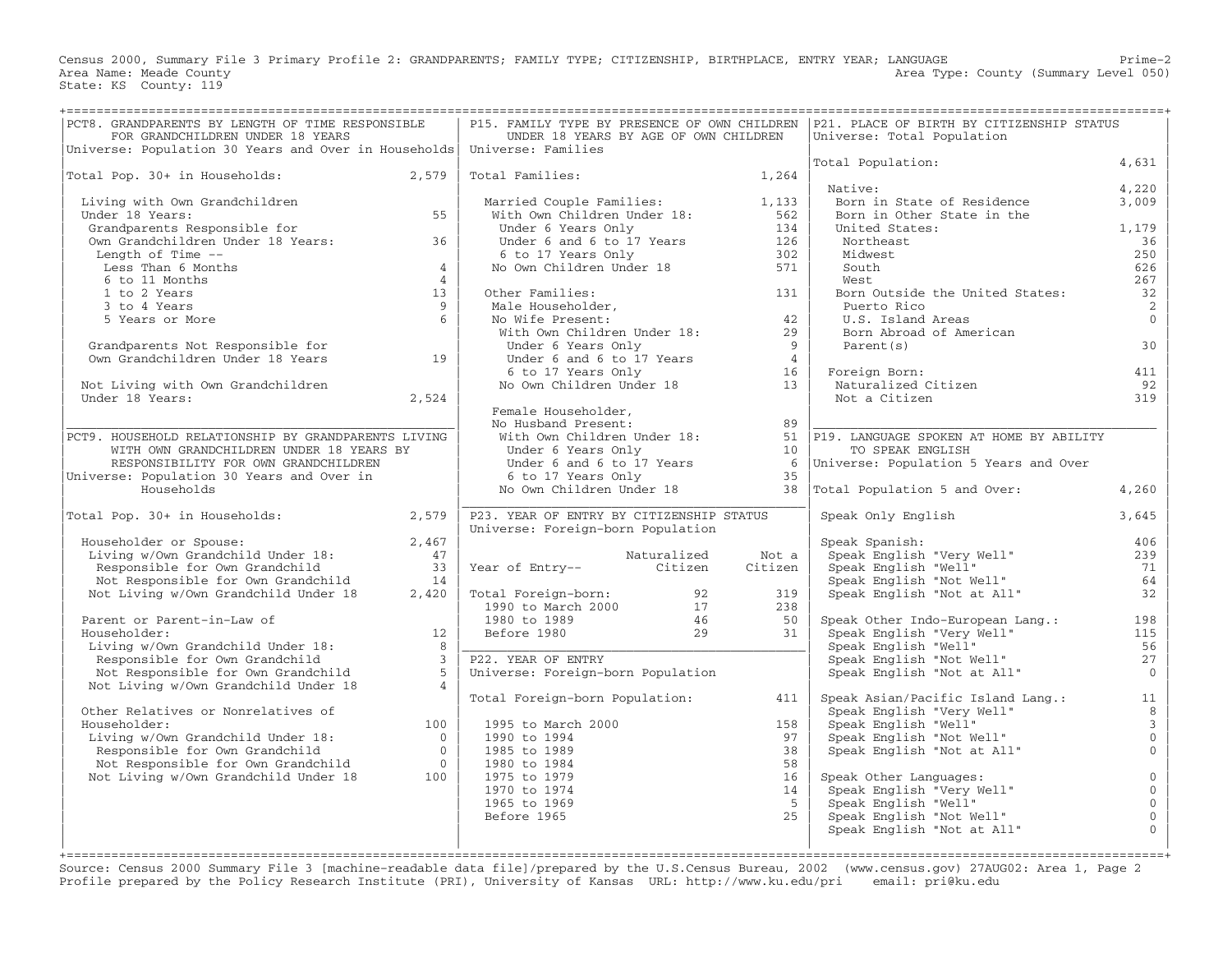Census 2000, Summary File 3 Primary Profile 2: GRANDPARENTS; FAMILY TYPE; CITIZENSHIP, BIRTHPLACE, ENTRY YEAR; LANGUAGE Prime−2 Area Name: Meade County **Area Type: County Area Type: County (Summary Level 050)** State: KS County: 119

| PCT8. GRANDPARENTS BY LENGTH OF TIME RESPONSIBLE<br>FOR GRANDCHILDREN UNDER 18 YEARS                                                                                          |                         | UNDER 18 YEARS BY AGE OF OWN CHILDREN                                                                                                                                                  |             |         | P15. FAMILY TYPE BY PRESENCE OF OWN CHILDREN   P21. PLACE OF BIRTH BY CITIZENSHIP STATUS<br>Universe: Total Population                                                                                                                                                                                                                                                                                  |                                  |
|-------------------------------------------------------------------------------------------------------------------------------------------------------------------------------|-------------------------|----------------------------------------------------------------------------------------------------------------------------------------------------------------------------------------|-------------|---------|---------------------------------------------------------------------------------------------------------------------------------------------------------------------------------------------------------------------------------------------------------------------------------------------------------------------------------------------------------------------------------------------------------|----------------------------------|
| Universe: Population 30 Years and Over in Households Universe: Families                                                                                                       |                         |                                                                                                                                                                                        |             |         |                                                                                                                                                                                                                                                                                                                                                                                                         |                                  |
|                                                                                                                                                                               |                         |                                                                                                                                                                                        |             |         | Total Population:                                                                                                                                                                                                                                                                                                                                                                                       | 4,631                            |
| Total Pop. 30+ in Households: 2,579                                                                                                                                           |                         | Total Families: 1,264                                                                                                                                                                  |             |         |                                                                                                                                                                                                                                                                                                                                                                                                         |                                  |
|                                                                                                                                                                               |                         |                                                                                                                                                                                        |             |         | Native:                                                                                                                                                                                                                                                                                                                                                                                                 | 4,220                            |
| Living with Own Grandchildren<br>Under 18 Years:<br>Grandparents Responsible for                                                                                              |                         |                                                                                                                                                                                        |             |         | Born in State of Residence                                                                                                                                                                                                                                                                                                                                                                              | 3,009                            |
|                                                                                                                                                                               | 55                      |                                                                                                                                                                                        |             |         | Born in Other State in the                                                                                                                                                                                                                                                                                                                                                                              |                                  |
|                                                                                                                                                                               |                         | Married Couple Families: 1,133<br>With Own Children Under 18: 562<br>Under 6 Years Only 134<br>Under 6 and 6 to 17 Years 126<br>6 to 17 Years Only 302<br>No Own Children Under 18 571 |             |         | United States:                                                                                                                                                                                                                                                                                                                                                                                          | 1,179                            |
| Own Grandchildren Under 18 Years: 36                                                                                                                                          |                         |                                                                                                                                                                                        |             |         | Northeast                                                                                                                                                                                                                                                                                                                                                                                               | 36                               |
| Length of Time --                                                                                                                                                             |                         |                                                                                                                                                                                        |             |         | Midwest                                                                                                                                                                                                                                                                                                                                                                                                 | 250                              |
| Less Than 6 Months                                                                                                                                                            | $\overline{4}$          |                                                                                                                                                                                        |             |         | South                                                                                                                                                                                                                                                                                                                                                                                                   | 626                              |
| 6 to 11 Months                                                                                                                                                                | $\overline{4}$          |                                                                                                                                                                                        |             |         | West.                                                                                                                                                                                                                                                                                                                                                                                                   | 267                              |
| 1 to 2 Years                                                                                                                                                                  | 13                      | Other Families: 131<br>Male Householder, 131<br>No Wife Present: 42<br>With Own Children Under 18: 29<br>Under 6 Years Only<br>Other Families:                                         |             |         | Born Outside the United States:                                                                                                                                                                                                                                                                                                                                                                         | 32                               |
| 3 to 4 Years                                                                                                                                                                  | $\overline{9}$          |                                                                                                                                                                                        |             |         | Puerto Rico                                                                                                                                                                                                                                                                                                                                                                                             | $\overline{2}$                   |
| 5 Years or More                                                                                                                                                               | 6 <sup>1</sup>          |                                                                                                                                                                                        |             |         | U.S. Island Areas                                                                                                                                                                                                                                                                                                                                                                                       | $\Omega$                         |
| Grandparents Not Responsible for<br>Own Grandchildren Under 18 Years 19                                                                                                       |                         |                                                                                                                                                                                        |             |         | Born Abroad of American                                                                                                                                                                                                                                                                                                                                                                                 |                                  |
|                                                                                                                                                                               |                         |                                                                                                                                                                                        |             |         | Parent(s)                                                                                                                                                                                                                                                                                                                                                                                               | 30                               |
|                                                                                                                                                                               |                         |                                                                                                                                                                                        |             |         |                                                                                                                                                                                                                                                                                                                                                                                                         |                                  |
|                                                                                                                                                                               |                         | With Own Children Ducer 10.<br>Under 6 Years Only<br>Under 6 and 6 to 17 Years 4<br>6 to 17 Years Only 16<br>No Own Children Under 18 13                                               |             |         | Foreign Born:<br>Naturalized Citizen                                                                                                                                                                                                                                                                                                                                                                    | 411                              |
| Not Living with Own Grandchildren                                                                                                                                             |                         |                                                                                                                                                                                        |             |         |                                                                                                                                                                                                                                                                                                                                                                                                         | 92                               |
| Under 18 Years:                                                                                                                                                               | 2,524                   |                                                                                                                                                                                        |             |         | Not a Citizen                                                                                                                                                                                                                                                                                                                                                                                           | 319                              |
|                                                                                                                                                                               |                         |                                                                                                                                                                                        |             |         |                                                                                                                                                                                                                                                                                                                                                                                                         |                                  |
|                                                                                                                                                                               |                         |                                                                                                                                                                                        |             |         |                                                                                                                                                                                                                                                                                                                                                                                                         |                                  |
| PCT9. HOUSEHOLD RELATIONSHIP BY GRANDPARENTS LIVING                                                                                                                           |                         |                                                                                                                                                                                        |             |         |                                                                                                                                                                                                                                                                                                                                                                                                         |                                  |
| WITH OWN GRANDCHILDREN UNDER 18 YEARS BY                                                                                                                                      |                         |                                                                                                                                                                                        |             |         |                                                                                                                                                                                                                                                                                                                                                                                                         |                                  |
| RESPONSIBILITY FOR OWN GRANDCHILDREN                                                                                                                                          |                         |                                                                                                                                                                                        |             |         |                                                                                                                                                                                                                                                                                                                                                                                                         |                                  |
| Universe: Population 30 Years and Over in<br>Households                                                                                                                       |                         | No Own Children Under 18                                                                                                                                                               |             | 38      | Female Householder,<br>No Husband Present:<br>With Own Children Under 18:<br>Under 6 Years Only<br>Under 6 and 6 to 17 Years<br>$\begin{array}{ccc}\n & 89 \\ 51 & \text{P19. LANGUAGE SPOKEN AT HOME BY ABILITY} \\  & 10 & \text{TO SPEAR ENGLISH} \\  & 10 & \text{TO SPEAR ENGLISH} \\  & 6 & \text{Universe: Population 5 Years and Over} \\  & 35 & \text{P11.17$<br>Total Population 5 and Over: | 4,260                            |
|                                                                                                                                                                               |                         |                                                                                                                                                                                        |             |         |                                                                                                                                                                                                                                                                                                                                                                                                         |                                  |
| Total Pop. 30+ in Households: 2,579                                                                                                                                           |                         | P23. YEAR OF ENTRY BY CITIZENSHIP STATUS                                                                                                                                               |             |         | Speak Only English                                                                                                                                                                                                                                                                                                                                                                                      | 3,645                            |
|                                                                                                                                                                               |                         | Universe: Foreign-born Population                                                                                                                                                      |             |         |                                                                                                                                                                                                                                                                                                                                                                                                         |                                  |
| Householder or Spouse:                                                                                                                                                        | 2,467                   |                                                                                                                                                                                        |             |         | Speak Spanish:<br>Speak Spanish:<br>Speak English "Very Well"<br>Speak English "Well"<br>Speak English "Not Well"                                                                                                                                                                                                                                                                                       | 406                              |
| Living w/Own Grandchild Under 18:<br>Responsible for Own Grandchild<br>Not Responsible for Own Grandchild                                                                     | 47                      |                                                                                                                                                                                        | Naturalized | Not a   |                                                                                                                                                                                                                                                                                                                                                                                                         | 239                              |
|                                                                                                                                                                               | $\frac{33}{14}$         | Year of Entry-- Citizen                                                                                                                                                                |             | Citizen |                                                                                                                                                                                                                                                                                                                                                                                                         | 71                               |
|                                                                                                                                                                               |                         |                                                                                                                                                                                        |             |         |                                                                                                                                                                                                                                                                                                                                                                                                         | 64                               |
| Not Living w/Own Grandchild Under 18 2,420                                                                                                                                    |                         |                                                                                                                                                                                        |             | 319     | Speak English "Not at All"                                                                                                                                                                                                                                                                                                                                                                              | 32                               |
|                                                                                                                                                                               |                         |                                                                                                                                                                                        |             | 238     |                                                                                                                                                                                                                                                                                                                                                                                                         |                                  |
| Parent or Parent-in-Law of                                                                                                                                                    |                         |                                                                                                                                                                                        |             | 50      | Speak Other Indo-European Lang.:                                                                                                                                                                                                                                                                                                                                                                        | 198                              |
| Householder:                                                                                                                                                                  | 12                      |                                                                                                                                                                                        |             | 31      | Speak English "Very Well"                                                                                                                                                                                                                                                                                                                                                                               | 115                              |
| Living w/Own Grandchild Under 18:                                                                                                                                             | 8                       | Total Foreign-born: 92<br>1990 to March 2000 17<br>1980 to 1989 46<br>Before 1980 29                                                                                                   |             |         | Speak English Very Well<br>Speak English "Well"<br>Speak English "Not Well"                                                                                                                                                                                                                                                                                                                             | 56                               |
| Responsible for Own Grandchild                                                                                                                                                | $\overline{\mathbf{3}}$ | P22. YEAR OF ENTRY                                                                                                                                                                     |             |         |                                                                                                                                                                                                                                                                                                                                                                                                         | 27                               |
| Not Responsible for Own Grandchild                                                                                                                                            | $5^{\circ}$             | Universe: Foreign-born Population                                                                                                                                                      |             |         | Speak English "Not at All"                                                                                                                                                                                                                                                                                                                                                                              | $\overline{0}$                   |
| Not Living w/Own Grandchild Under 18                                                                                                                                          | $\overline{4}$          |                                                                                                                                                                                        |             |         |                                                                                                                                                                                                                                                                                                                                                                                                         |                                  |
|                                                                                                                                                                               |                         | Total Foreign-born Population:                                                                                                                                                         |             | 411     | Speak Asian/Pacific Island Lang.:                                                                                                                                                                                                                                                                                                                                                                       | 11                               |
| Other Relatives or Nonrelatives of                                                                                                                                            |                         |                                                                                                                                                                                        |             |         | Speak English "Very Well"                                                                                                                                                                                                                                                                                                                                                                               | 8                                |
|                                                                                                                                                                               |                         | 1995 to March 2000                                                                                                                                                                     |             | 158     |                                                                                                                                                                                                                                                                                                                                                                                                         | $\overline{\mathbf{3}}$          |
| Householder:<br>Living w/Own Grandchild Under 18:<br>Responsible for Own Grandchild 0<br>Not Responsible for Own Grandchild<br>0<br>Not Responsible for Own Grandchild<br>100 |                         | 1990 to 1994                                                                                                                                                                           |             | 97      | Speak English "Very Well"<br>Speak English "Nell"<br>Speak English "Not Well"<br>Speak English "Not at All"                                                                                                                                                                                                                                                                                             | $\mathbf 0$<br>$\overline{0}$    |
|                                                                                                                                                                               |                         | 1985 to 1989                                                                                                                                                                           |             | 38      |                                                                                                                                                                                                                                                                                                                                                                                                         |                                  |
|                                                                                                                                                                               |                         | 1980 to 1984                                                                                                                                                                           |             | 58      |                                                                                                                                                                                                                                                                                                                                                                                                         |                                  |
|                                                                                                                                                                               |                         | 1975 to 1979                                                                                                                                                                           |             | 16      | Speak Other Languages:                                                                                                                                                                                                                                                                                                                                                                                  | $\overline{0}$                   |
|                                                                                                                                                                               |                         | 1970 to 1974                                                                                                                                                                           |             | 14      | -<br>Speak English "Very Well"<br>Speak English "Well"                                                                                                                                                                                                                                                                                                                                                  | $\overline{0}$                   |
|                                                                                                                                                                               |                         | 1965 to 1969<br>Before 1965                                                                                                                                                            |             | 5<br>25 |                                                                                                                                                                                                                                                                                                                                                                                                         | $\overline{0}$<br>$\overline{0}$ |
|                                                                                                                                                                               |                         |                                                                                                                                                                                        |             |         |                                                                                                                                                                                                                                                                                                                                                                                                         |                                  |
|                                                                                                                                                                               |                         |                                                                                                                                                                                        |             |         |                                                                                                                                                                                                                                                                                                                                                                                                         |                                  |
|                                                                                                                                                                               |                         |                                                                                                                                                                                        |             |         | Speak English "Not Well"<br>Speak English "Not at All"                                                                                                                                                                                                                                                                                                                                                  | $\mathbf{0}$                     |

+===================================================================================================================================================+ Source: Census 2000 Summary File 3 [machine−readable data file]/prepared by the U.S.Census Bureau, 2002 (www.census.gov) 27AUG02: Area 1, Page 2 Profile prepared by the Policy Research Institute (PRI), University of Kansas URL: http://www.ku.edu/pri email: pri@ku.edu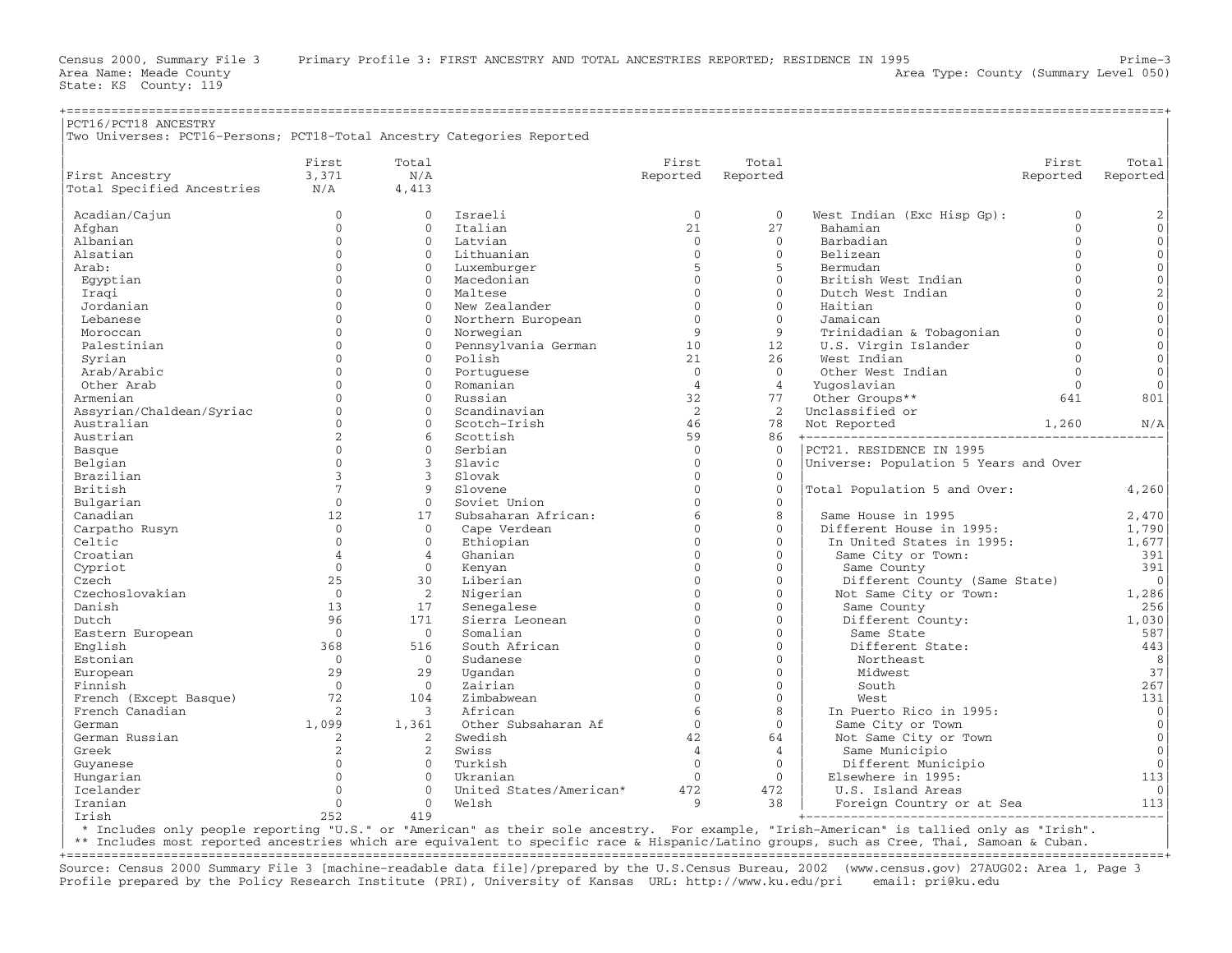| PCT16/PCT18 ANCESTRY                                                   |                                  |                |                         |                      |                |                                       |              |                     |
|------------------------------------------------------------------------|----------------------------------|----------------|-------------------------|----------------------|----------------|---------------------------------------|--------------|---------------------|
| Two Universes: PCT16-Persons; PCT18-Total Ancestry Categories Reported |                                  |                |                         |                      |                |                                       |              |                     |
|                                                                        |                                  |                |                         |                      |                |                                       |              |                     |
|                                                                        | First                            | Total          |                         | First                | Total          |                                       | First        | Total               |
| First Ancestry                                                         | 3,371                            | N/A            |                         | Reported             | Reported       |                                       | Reported     | Reported            |
| Total Specified Ancestries                                             | N/A                              | 4,413          |                         |                      |                |                                       |              |                     |
| Acadian/Cajun                                                          | $\mathbf{0}$                     | $\Omega$       | Israeli                 | $\mathbf{0}$         | $\Omega$       | West Indian (Exc Hisp Gp):            | $\mathbf{0}$ | 2                   |
| Afghan                                                                 | $\mathbf{0}$                     | $\Omega$       | Italian                 | 21                   | 27             | Bahamian                              | $\mathbf{0}$ | $\mathbf 0$         |
| Albanian                                                               | $\Omega$                         | $\Omega$       | Latvian                 | $\Omega$             | $\Omega$       | Barbadian                             | $\Omega$     | $\mathbf{0}$        |
| Alsatian                                                               | $\Omega$                         | $\Omega$       | Lithuanian              | $\Omega$             | $\Omega$       | Belizean                              | $\Omega$     | $\mathbf{0}$        |
| Arab:                                                                  | $\Omega$                         | $\Omega$       | Luxemburger             | 5                    | 5              | Bermudan                              | $\Omega$     | $\mathbf{0}$        |
| Egyptian                                                               | $\Omega$                         | $\Omega$       | Macedonian              | $\Omega$             | $\mathbf{0}$   | British West Indian                   | $\mathbf{0}$ | $\mathsf{O}\xspace$ |
| Iraqi                                                                  | $\Omega$                         | $\Omega$       | Maltese                 | $\Omega$             | $\Omega$       | Dutch West Indian                     | $\Omega$     | $\sqrt{2}$          |
| Jordanian                                                              | $\Omega$                         | $\Omega$       | New Zealander           | $\Omega$             | $\Omega$       | Haitian                               | $\Omega$     | $\mathbb O$         |
| Lebanese                                                               | $\Omega$                         | $\Omega$       | Northern European       | $\Omega$             | $\Omega$       | Jamaican                              | $\Omega$     | $\mathbb O$         |
| Moroccan                                                               | $\Omega$                         | $\Omega$       | Norwegian               | $\mathsf{Q}$         | $\circ$        | Trinidadian & Tobagonian              | $\Omega$     | $\mathbb O$         |
| Palestinian                                                            | $\Omega$                         | $\Omega$       | Pennsylvania German     | 10                   | 12             | U.S. Virgin Islander                  | $\Omega$     | $\mathbf{0}$        |
| Syrian                                                                 | $\Omega$                         | $\Omega$       | Polish                  | 21                   | 26             | West Indian                           | $\Omega$     | $\mathbb O$         |
| Arab/Arabic                                                            | $\Omega$                         | $\Omega$       | Portuguese              | $\Omega$             | $\Omega$       | Other West Indian                     | $\Omega$     | $\mathbf{0}$        |
| Other Arab                                                             | $\Omega$                         | $\Omega$       | Romanian                | $\overline{4}$       | $\overline{4}$ | Yuqoslavian                           | $\Omega$     | $\mathbf{0}$        |
| Armenian                                                               | $\Omega$                         | $\Omega$       | Russian                 | 32                   | 77             | Other Groups**                        | 641          | 801                 |
|                                                                        | $\Omega$                         | $\Omega$       | Scandinavian            | 2                    | 2              | Unclassified or                       |              |                     |
| Assyrian/Chaldean/Syriac<br>Australian                                 | $\mathbf{0}$                     | $\Omega$       | Scotch-Irish            | 46                   | 78             |                                       |              | N/A                 |
|                                                                        | 2                                | 6              |                         |                      |                | Not Reported                          | 1,260        |                     |
| Austrian                                                               |                                  | $\Omega$       | Scottish                | 59                   | 86             |                                       |              |                     |
| Basque                                                                 | $\mathbf{0}$<br>$\Omega$         | 3              | Serbian                 | $\mathbf{0}$         | $\mathbf{0}$   | PCT21. RESIDENCE IN 1995              |              |                     |
| Belgian                                                                |                                  |                | Slavic                  | $\Omega$             | $\Omega$       | Universe: Population 5 Years and Over |              |                     |
| Brazilian                                                              | $\overline{3}$<br>$\overline{7}$ | $\mathbf{3}$   | Slovak                  | $\Omega$<br>$\Omega$ | $\mathbf{0}$   |                                       |              |                     |
| British                                                                |                                  | 9              | Slovene                 |                      | $\Omega$       | Total Population 5 and Over:          |              | 4,260               |
| Bulgarian                                                              | $\Omega$                         | $\Omega$       | Soviet Union            | $\Omega$             | $\circ$        |                                       |              |                     |
| Canadian                                                               | 12                               | 17             | Subsaharan African:     | $\sqrt{2}$           | 8              | Same House in 1995                    |              | 2,470               |
| Carpatho Rusyn                                                         | $\mathbf{0}$                     | $\Omega$       | Cape Verdean            | $\Omega$             | $\Omega$       | Different House in 1995:              |              | 1,790               |
| Celtic                                                                 | $\Omega$                         | $\Omega$       | Ethiopian               | $\Omega$             | $\Omega$       | In United States in 1995:             |              | 1,677               |
| Croatian                                                               | $\overline{4}$                   | $\overline{4}$ | Ghanian                 | $\Omega$             | $\Omega$       | Same City or Town:                    |              | 391                 |
| Cypriot                                                                | $\Omega$                         | $\Omega$       | Kenyan                  | $\Omega$             | $\Omega$       | Same County                           |              | 391                 |
| Czech                                                                  | 25                               | 30             | Liberian                | $\Omega$             | $\Omega$       | Different County (Same State)         |              | $\circ$             |
| Czechoslovakian                                                        | $\Omega$                         | 2              | Nigerian                | $\Omega$             | $\Omega$       | Not Same City or Town:                |              | 1,286               |
| Danish                                                                 | 13                               | 17             | Senegalese              | $\Omega$             | $\mathbf{0}$   | Same County                           |              | 256                 |
| Dutch                                                                  | 96                               | 171            | Sierra Leonean          | $\Omega$             | $\Omega$       | Different County:                     |              | 1,030               |
| Eastern European                                                       | $\mathbf{0}$                     | $\Omega$       | Somalian                | $\Omega$             | $\Omega$       | Same State                            |              | 587                 |
| English                                                                | 368                              | 516            | South African           | $\Omega$             | $\Omega$       | Different State:                      |              | 443                 |
| Estonian                                                               | $\mathbf{0}$                     | $\Omega$       | Sudanese                | $\Omega$             | $\Omega$       | Northeast                             |              | 8                   |
| European                                                               | 29                               | 29             | Uqandan                 | $\Omega$             | $\mathbf{0}$   | Midwest                               |              | 37                  |
| Finnish                                                                | $\Omega$                         | $\Omega$       | Zairian                 | $\Omega$             | $\Omega$       | South                                 |              | 267                 |
| French (Except Basque)                                                 | 72                               | 104            | Zimbabwean              | $\Omega$             | $\Omega$       | West                                  |              | 131                 |
| French Canadian                                                        | 2                                | 3              | African                 | 6                    | 8              | In Puerto Rico in 1995:               |              | $\mathbf 0$         |
| German                                                                 | 1,099                            | 1,361          | Other Subsaharan Af     | $\Omega$             | $\Omega$       | Same City or Town                     |              | $\circ$             |
| German Russian                                                         | 2                                | 2              | Swedish                 | 42                   | 64             | Not Same City or Town                 |              | $\mathbf{0}$        |
| Greek                                                                  | $\overline{2}$                   | 2              | Swiss                   | $\overline{4}$       | $\overline{4}$ | Same Municipio                        |              | $\mathbf{0}$        |
| Guyanese                                                               | $\Omega$                         | $\Omega$       | Turkish                 | $\Omega$             | $\Omega$       | Different Municipio                   |              | $\mathbf{0}$        |
| Hungarian                                                              | $\Omega$                         | $\Omega$       | Ukranian                | $\Omega$             | $\mathbf{0}$   | Elsewhere in 1995:                    |              | 113                 |
| Icelander                                                              | $\Omega$                         | $\Omega$       | United States/American* | 472                  | 472            | U.S. Island Areas                     |              | $\Omega$            |
| Iranian                                                                | $\mathbf{0}$                     | $\mathbf{0}$   | Welsh                   | 9                    | 38             | Foreign Country or at Sea             |              | 113                 |
| Trish                                                                  | 252                              | 419            |                         |                      |                |                                       |              |                     |

| \* Includes only people reporting "U.S." or "American" as their sole ancestry. For example, "Irish−American" is tallied only as "Irish". |

\*\* Includes most reported ancestries which are equivalent to specific race & Hispanic/Latino groups, such as Cree, Thai, Samoan & Cuban. +===================================================================================================================================================+

Source: Census 2000 Summary File 3 [machine−readable data file]/prepared by the U.S.Census Bureau, 2002 (www.census.gov) 27AUG02: Area 1, Page 3 Profile prepared by the Policy Research Institute (PRI), University of Kansas URL: http://www.ku.edu/pri email: pri@ku.edu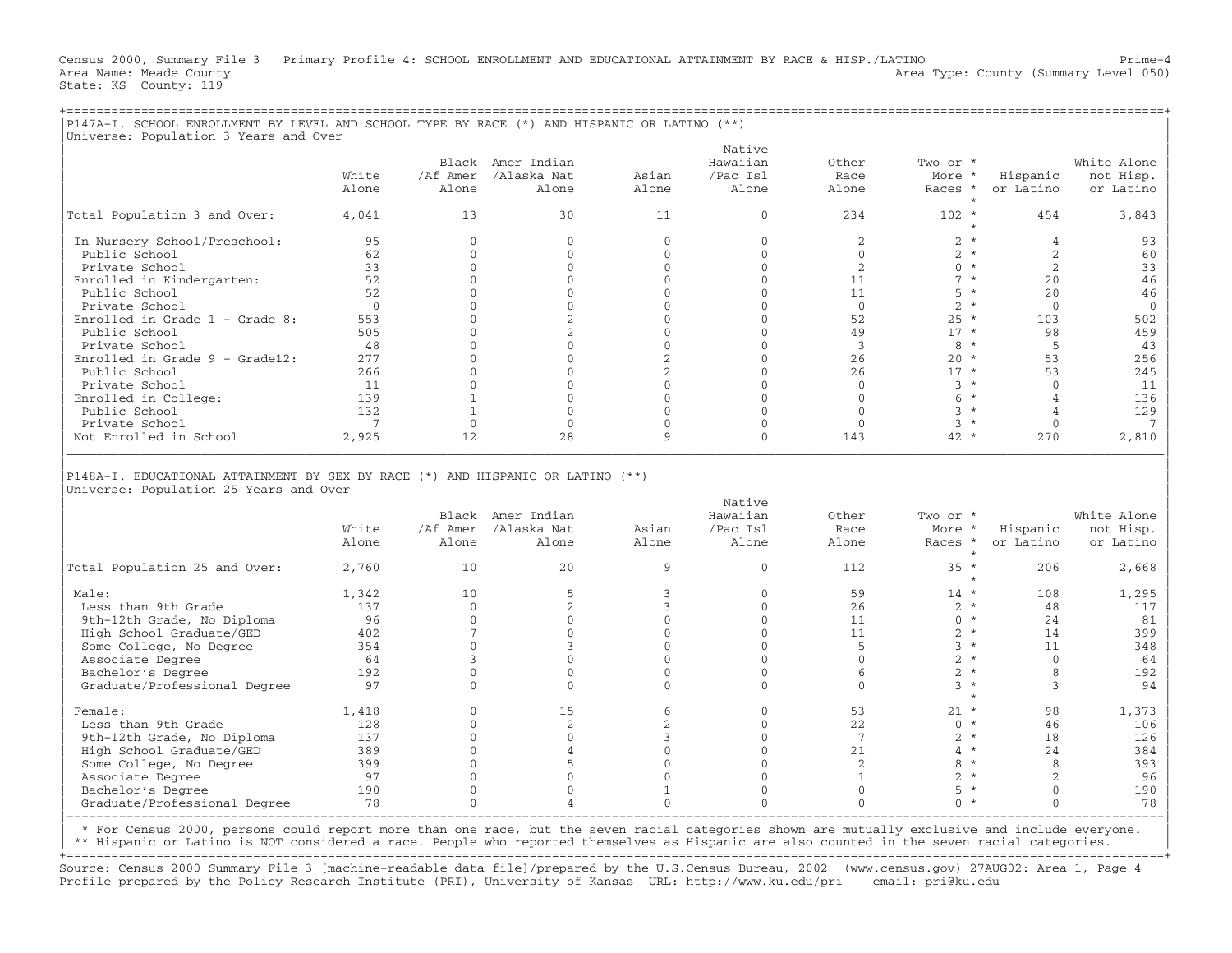Census 2000, Summary File 3 Primary Profile 4: SCHOOL ENROLLMENT AND EDUCATIONAL ATTAINMENT BY RACE & HISP./LATINO Prime−4 Area Name: Meade County Area Type: County (Summary Level 050) Stat

|P147A−I. SCHOOL ENROLLMENT BY LEVEL AND SCHOOL TYPE BY RACE (\*) AND HISPANIC OR LATINO (\*\*) |

|  |  | Area Type: County (Summary Level 05) |  | Area Name: Meade County<br>State: KS County: 119 |  |
|--|--|--------------------------------------|--|--------------------------------------------------|--|
|  |  |                                      |  |                                                  |  |

| Universe: Population 3 Years and Over  |                 |              |                                                                                |                |              |                 |                    |                |                 |
|----------------------------------------|-----------------|--------------|--------------------------------------------------------------------------------|----------------|--------------|-----------------|--------------------|----------------|-----------------|
|                                        |                 |              |                                                                                |                | Native       |                 |                    |                |                 |
|                                        |                 |              | Black Amer Indian                                                              |                | Hawaiian     | Other           | Two or *           |                | White Alone     |
|                                        | White           | /Af Amer     | /Alaska Nat                                                                    | Asian          | /Pac Isl     | Race            | More *             | Hispanic       | not Hisp.       |
|                                        | Alone           | Alone        | Alone                                                                          | Alone          | Alone        | Alone           | Races *            | or Latino      | or Latino       |
|                                        |                 |              |                                                                                |                |              |                 | $\star$            |                |                 |
| Total Population 3 and Over:           | 4,041           | 13           | 30                                                                             | 11             | $\Omega$     | 234             | $102 *$<br>$\star$ | 454            | 3,843           |
| In Nursery School/Preschool:           | 95              | $\Omega$     | $\mathbf{0}$                                                                   | $\mathbf{0}$   | $\mathbf{0}$ | 2               | $2 *$              | $\overline{4}$ | 93              |
| Public School                          | 62              | $\Omega$     | $\Omega$                                                                       | $\Omega$       | $\Omega$     | $\Omega$        | $2 *$              | 2              | 60              |
| Private School                         | 33              | $\Omega$     | $\mathbf{0}$                                                                   | $\Omega$       | $\Omega$     | 2               | $0 *$              | 2              | 33              |
| Enrolled in Kindergarten:              | 52              | $\Omega$     | $\Omega$                                                                       | $\Omega$       | $\Omega$     | 11              | $7 *$              | 2.0            | 46              |
| Public School                          | 52              | $\Omega$     | $\Omega$                                                                       | $\Omega$       | $\Omega$     | 11              | $5 *$              | 20             | 46              |
| Private School                         | $\Omega$        | $\Omega$     | $\mathbf{0}$                                                                   | $\Omega$       | $\Omega$     | $\Omega$        | $2 *$              | $\Omega$       | $\overline{0}$  |
| Enrolled in Grade $1$ - Grade 8:       | 553             | $\Omega$     | $\overline{2}$                                                                 | $\Omega$       | $\Omega$     | 52              | $25 *$             | 103            | 502             |
| Public School                          | 505             | $\Omega$     | $\overline{c}$                                                                 | $\Omega$       | $\Omega$     | 49              | $17 *$             | 98             | 459             |
| Private School                         | 48              | $\Omega$     | $\mathbf{0}$                                                                   | $\mathbf{0}$   | $\Omega$     | $\mathbf{3}$    | $8 *$              | -5             | 43              |
| Enrolled in Grade $9 -$ Grade12:       | 277             | $\Omega$     | $\mathbf{0}$                                                                   | $\overline{c}$ | $\Omega$     | 26              | $20 *$             | 53             | 256             |
| Public School                          | 266             | $\Omega$     | $\mathbf{0}$                                                                   | $\overline{c}$ | $\Omega$     | 26              | $17 *$             | 53             | 245             |
| Private School                         | 11              | $\Omega$     | $\Omega$                                                                       | $\Omega$       | $\Omega$     | $\Omega$        | $3 *$              | $\Omega$       | 11              |
| Enrolled in College:                   | 139             | $\mathbf{1}$ | $\mathbf{0}$                                                                   | $\Omega$       | $\mathbf{0}$ | $\mathbf{0}$    | $6*$               | $\overline{4}$ | 136             |
| Public School                          | 132             | $\mathbf{1}$ | $\Omega$                                                                       | $\Omega$       | $\Omega$     | $\Omega$        | $3 *$              | $\overline{4}$ | 129             |
| Private School                         | $7\phantom{.0}$ | $\mathbf{0}$ | $\mathbf 0$                                                                    | $\mathbf{0}$   | $\mathbf{0}$ | $\mathbf 0$     | $3 *$              | $\mathbf 0$    | $7\phantom{.0}$ |
| Not Enrolled in School                 | 2,925           | 12           | 28                                                                             | 9              | $\Omega$     | 143             | $42 *$             | 270            | 2,810           |
|                                        |                 |              |                                                                                |                |              |                 |                    |                |                 |
|                                        |                 |              | P148A-I. EDUCATIONAL ATTAINMENT BY SEX BY RACE (*) AND HISPANIC OR LATINO (**) |                |              |                 |                    |                |                 |
| Universe: Population 25 Years and Over |                 |              |                                                                                |                | Native       |                 |                    |                |                 |
|                                        |                 |              | Black Amer Indian                                                              |                | Hawaiian     | Other           | Two or *           |                | White Alone     |
|                                        | White           | /Af Amer     | /Alaska Nat                                                                    | Asian          | /Pac Isl     | Race            | More *             | Hispanic       | not Hisp.       |
|                                        | Alone           | Alone        | Alone                                                                          | Alone          | Alone        | Alone           | Races *<br>$\star$ | or Latino      | or Latino       |
| Total Population 25 and Over:          | 2,760           | 10           | 20                                                                             | 9              | $\Omega$     | 112             | $35 *$             | 206            | 2,668           |
| Male:                                  |                 | 10           | 5                                                                              | 3              | $\mathbf{0}$ | 59              | $\star$<br>$14 *$  | 108            |                 |
|                                        | 1,342<br>137    | $\Omega$     |                                                                                | 3              | $\Omega$     | 26              | $2 *$              | 48             | 1,295<br>117    |
| Less than 9th Grade                    |                 | $\Omega$     | 2                                                                              | $\Omega$       | $\Omega$     |                 |                    |                |                 |
| 9th-12th Grade, No Diploma             | 96              |              | $\mathbf{0}$                                                                   |                |              | 11              | $0 *$              | 24             | 81              |
| High School Graduate/GED               | 402             | 7            | $\Omega$                                                                       | $\Omega$       | $\Omega$     | 11              | $2 *$              | 14             | 399             |
| Some College, No Degree                | 354             | $\mathbf{0}$ | 3                                                                              | $\mathbf{0}$   | $\Omega$     | 5               | $3 *$              | 11             | 348             |
| Associate Degree                       | 64              | 3            | $\mathbf{0}$                                                                   | $\Omega$       | $\mathbf{0}$ | $\mathbf{0}$    | $2 *$              | $\overline{0}$ | 64              |
| Bachelor's Degree                      | 192             | $\Omega$     | $\Omega$                                                                       | $\Omega$       | $\Omega$     | 6               | $2 *$              | 8              | 192             |
| Graduate/Professional Degree           | 97              | $\Omega$     | $\mathbf{0}$                                                                   | $\Omega$       | $\mathbf{0}$ | $\mathbf{0}$    | $3 *$<br>$\star$   | 3              | 94              |
| Female:                                | 1,418           | $\mathbf{0}$ | 15                                                                             | 6              | $\mathbf{0}$ | 53              | $21 *$             | 98             | 1,373           |
| Less than 9th Grade                    | 128             | $\mathbf{0}$ | 2                                                                              | $\overline{c}$ | $\mathbf{0}$ | 22              | $0 *$              | 46             | 106             |
| 9th-12th Grade, No Diploma             | 137             | $\mathbf{0}$ | $\mathbf 0$                                                                    | 3              | $\Omega$     | $7\phantom{.0}$ | $2 *$              | 18             | 126             |
| High School Graduate/GED               | 389             | $\Omega$     | $\overline{4}$                                                                 | $\Omega$       | $\Omega$     | 21              | $4 *$              | 2.4            | 384             |
| Some College, No Degree                | 399             | $\Omega$     | 5                                                                              | $\Omega$       | $\Omega$     | 2               | $8 *$              | 8              | 393             |
| Associate Degree                       | 97              | $\Omega$     | $\mathbf{0}$                                                                   | $\Omega$       | $\Omega$     | $\mathbf{1}$    | $2 *$              | 2              | 96              |
| Bachelor's Degree                      | 190             | $\Omega$     | $\mathbf{0}$                                                                   | $\mathbf{1}$   | $\mathbf{0}$ | $\Omega$        | $5 *$              | $\Omega$       | 190             |
| Graduate/Professional Degree           | 78              | $\mathbf{0}$ | $\overline{4}$                                                                 | $\mathbf{0}$   | $\Omega$     | $\Omega$        | $0 *$              | $\mathbf{0}$   | 78              |

| \* For Census 2000, persons could report more than one race, but the seven racial categories shown are mutually exclusive and include everyone. |

\*\* Hispanic or Latino is NOT considered a race. People who reported themselves as Hispanic are also counted in the seven racial categories. +===================================================================================================================================================+

Source: Census 2000 Summary File 3 [machine−readable data file]/prepared by the U.S.Census Bureau, 2002 (www.census.gov) 27AUG02: Area 1, Page 4 Profile prepared by the Policy Research Institute (PRI), University of Kansas URL: http://www.ku.edu/pri email: pri@ku.edu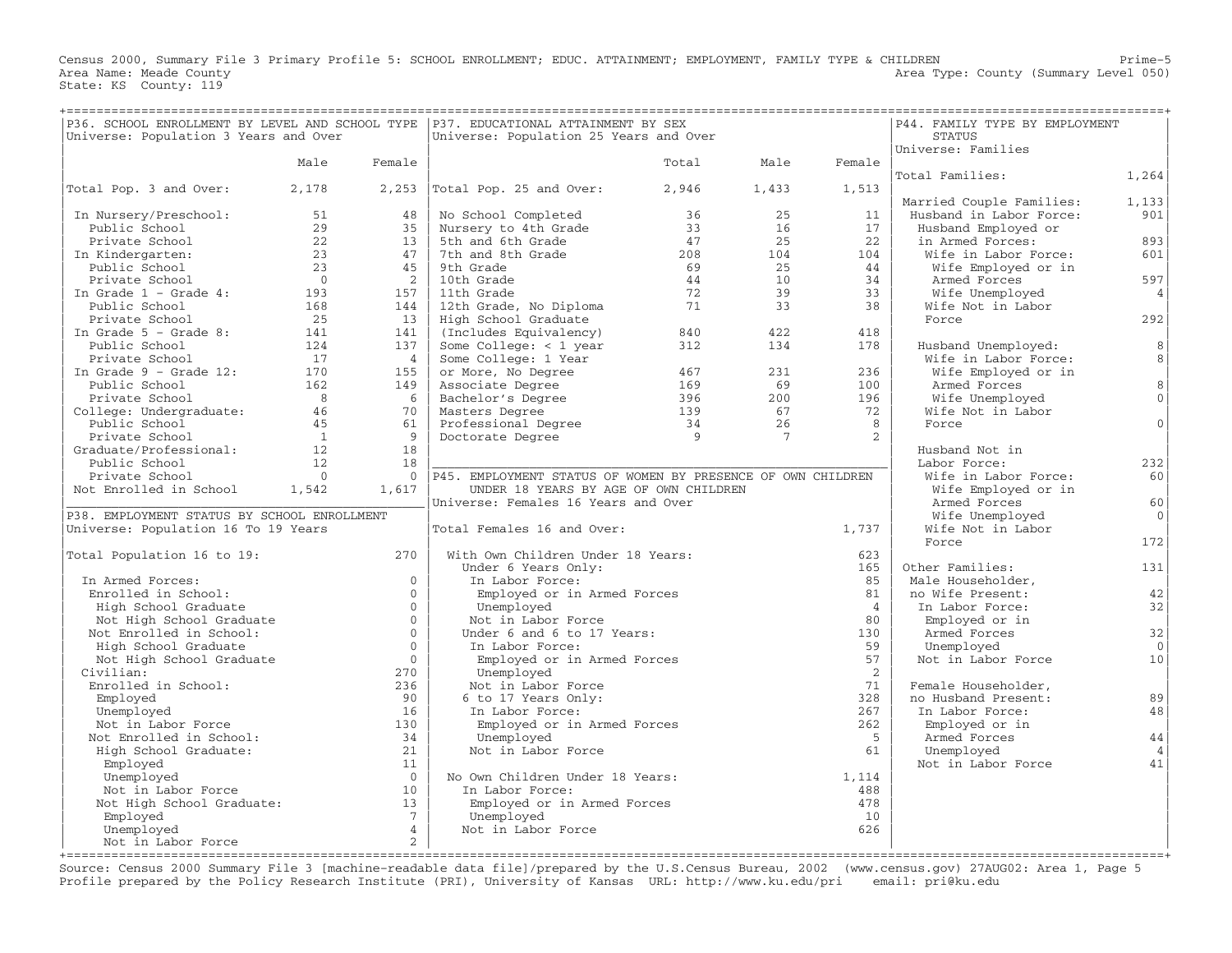Census 2000, Summary File 3 Primary Profile 5: SCHOOL ENROLLMENT; EDUC. ATTAINMENT; EMPLOYMENT, FAMILY TYPE & CHILDREN Prime−5 Area Name: Meade County **Area County** Level 050) Area Type: County (Summary Level 050) State: KS County: 119

| Universe: Population 3 Years and Over       |                |                      | P36. SCHOOL ENROLLMENT BY LEVEL AND SCHOOL TYPE   P37. EDUCATIONAL ATTAINMENT BY SEX<br>Universe: Population 25 Years and Over |                |                | P44. FAMILY TYPE BY EMPLOYMENT<br><b>STATUS</b> |                          |                |
|---------------------------------------------|----------------|----------------------|--------------------------------------------------------------------------------------------------------------------------------|----------------|----------------|-------------------------------------------------|--------------------------|----------------|
|                                             |                |                      |                                                                                                                                |                |                |                                                 | Universe: Families       |                |
|                                             | Male           | Female               |                                                                                                                                | Total          | Male           | Female                                          |                          |                |
|                                             |                |                      |                                                                                                                                |                |                |                                                 | Total Families:          | 1,264          |
| Total Pop. 3 and Over:                      | 2,178          |                      | $2,253$ Total Pop. 25 and Over:                                                                                                | 2,946          | 1,433          | 1,513                                           |                          |                |
|                                             |                |                      |                                                                                                                                |                |                |                                                 | Married Couple Families: | 1,133          |
| In Nursery/Preschool:                       | 51             | 48                   | No School Completed                                                                                                            | 36             | 25             | 11                                              | Husband in Labor Force:  | 901            |
| Public School                               | 29             | 35                   | Nursery to 4th Grade                                                                                                           | 33             | 16             | 17                                              | Husband Employed or      |                |
| Private School                              | 22             | 13                   | 5th and 6th Grade                                                                                                              | 47             | 2.5            | 2.2                                             | in Armed Forces:         | 893            |
| In Kindergarten:                            | 23             | 47                   | 7th and 8th Grade                                                                                                              | 208            | 104            | 104                                             | Wife in Labor Force:     | 601            |
| Public School                               | 23             | 45                   | 9th Grade                                                                                                                      | 69             | 25             | 44                                              | Wife Employed or in      |                |
| Private School                              | $\bigcap$      | 2                    | 10th Grade                                                                                                                     | 44             | 10             | 34                                              | Armed Forces             | 597            |
| In Grade $1$ - Grade $4$ :                  | 193            | 157                  | 11th Grade                                                                                                                     | 72             | 39             | 33                                              | Wife Unemployed          | $\overline{4}$ |
| Public School                               | 168            | 144                  | 12th Grade, No Diploma                                                                                                         | 71             | 33             | 38                                              | Wife Not in Labor        |                |
| Private School                              | 25             | 13                   | High School Graduate                                                                                                           |                |                |                                                 | Force                    | 292            |
| In Grade $5$ - Grade 8:                     | 141            | 141                  | (Includes Equivalency)                                                                                                         | 840            | 422            | 418                                             |                          |                |
| Public School                               | 124            | 137                  | Some College: $<$ 1 year                                                                                                       | 312            | 134            | 178                                             | Husband Unemployed:      | 8              |
| Private School                              | 17             | $\overline{4}$       | Some College: 1 Year                                                                                                           |                |                |                                                 | Wife in Labor Force:     | 8              |
| In Grade $9$ - Grade 12:                    | 170            | 155                  | or More, No Degree                                                                                                             | 467            | 231            | 236                                             | Wife Employed or in      |                |
| Public School                               | 162            | 149                  | Associate Degree                                                                                                               | 169            | 69             | 100                                             | Armed Forces             | 8              |
| Private School                              | 8 <sup>8</sup> | 6                    | Bachelor's Degree                                                                                                              | 396            | 200            | 196                                             | Wife Unemployed          | $\mathbf{0}$   |
| College: Undergraduate:                     | 46             | 70                   | Masters Degree                                                                                                                 | 139            | 67             | 72                                              | Wife Not in Labor        |                |
| Public School                               | 45             | 61                   | Professional Degree                                                                                                            | 34             | 26             | 8                                               | Force                    | $\Omega$       |
| Private School                              | $\overline{1}$ | 9                    | Doctorate Degree                                                                                                               | $\overline{q}$ | $\overline{7}$ | $\overline{a}$                                  |                          |                |
| Graduate/Professional:                      | 12             | 18                   |                                                                                                                                |                |                |                                                 | Husband Not in           |                |
| Public School                               | 12             | 18                   |                                                                                                                                |                |                |                                                 | Labor Force:             | 232            |
| Private School                              | $\bigcap$      | $\Omega$             | P45. EMPLOYMENT STATUS OF WOMEN BY PRESENCE OF OWN CHILDREN                                                                    |                |                |                                                 | Wife in Labor Force:     | 60             |
| Not Enrolled in School                      | 1,542          | 1,617                | UNDER 18 YEARS BY AGE OF OWN CHILDREN                                                                                          |                |                |                                                 | Wife Employed or in      |                |
|                                             |                |                      | Universe: Females 16 Years and Over                                                                                            |                |                |                                                 | Armed Forces             | 60             |
| P38. EMPLOYMENT STATUS BY SCHOOL ENROLLMENT |                |                      |                                                                                                                                |                |                |                                                 | Wife Unemployed          | $\Omega$       |
| Universe: Population 16 To 19 Years         |                |                      | Total Females 16 and Over:                                                                                                     |                |                | 1,737                                           | Wife Not in Labor        |                |
|                                             |                |                      |                                                                                                                                |                |                |                                                 | Force                    | 172            |
| Total Population 16 to 19:                  |                | 270                  | With Own Children Under 18 Years:                                                                                              |                |                | 623                                             |                          |                |
|                                             |                |                      | Under 6 Years Only:                                                                                                            |                |                | 165                                             | Other Families:          | 131            |
| In Armed Forces:                            |                | $\Omega$             | In Labor Force:                                                                                                                |                |                | 85                                              | Male Householder,        |                |
| Enrolled in School:                         |                | $\Omega$             | Employed or in Armed Forces                                                                                                    |                |                | 81                                              | no Wife Present:         | 42             |
| High School Graduate                        |                | $\Omega$             | Unemployed                                                                                                                     |                |                | $\overline{4}$                                  | In Labor Force:          | 32             |
| Not High School Graduate                    |                | $\Omega$<br>$\Omega$ | Not in Labor Force                                                                                                             |                |                | 80                                              | Employed or in           |                |
| Not Enrolled in School:                     |                | $\Omega$             | Under 6 and 6 to 17 Years:                                                                                                     |                |                | 130                                             | Armed Forces             | 32<br>$\Omega$ |
| High School Graduate                        |                | $\Omega$             | In Labor Force:                                                                                                                |                |                | 59<br>57                                        | Unemployed               | 10             |
| Not High School Graduate<br>Civilian:       |                | 270                  | Employed or in Armed Forces                                                                                                    |                |                | 2                                               | Not in Labor Force       |                |
| Enrolled in School:                         |                | 236                  | Unemployed<br>Not in Labor Force                                                                                               |                |                | 71                                              | Female Householder,      |                |
| Employed                                    |                | 90                   | 6 to 17 Years Only:                                                                                                            |                |                | 328                                             | no Husband Present:      | 89             |
| Unemployed                                  |                | 16                   | In Labor Force:                                                                                                                |                |                | 267                                             | In Labor Force:          | 48             |
| Not in Labor Force                          |                | 130                  | Employed or in Armed Forces                                                                                                    |                |                | 262                                             | Employed or in           |                |
| Not Enrolled in School:                     |                | 34                   | Unemployed                                                                                                                     |                |                | - 5                                             | Armed Forces             | 44             |
| High School Graduate:                       |                | 21                   | Not in Labor Force                                                                                                             |                |                | 61                                              | Unemployed               | $\overline{4}$ |
| Employed                                    |                | 11                   |                                                                                                                                |                |                |                                                 | Not in Labor Force       | 41             |
| Unemployed                                  |                | $\bigcirc$           | No Own Children Under 18 Years:                                                                                                |                |                | 1,114                                           |                          |                |
| Not in Labor Force                          |                | 10                   | In Labor Force:                                                                                                                |                |                | 488                                             |                          |                |
| Not High School Graduate:                   |                | 13                   | Employed or in Armed Forces                                                                                                    |                |                | 478                                             |                          |                |
| Employed                                    |                | $7\overline{ }$      | Unemployed                                                                                                                     |                |                | 10                                              |                          |                |
| Unemployed                                  |                | $\overline{4}$       | Not in Labor Force                                                                                                             |                |                | 626                                             |                          |                |
| Not in Labor Force                          |                | 2                    |                                                                                                                                |                |                |                                                 |                          |                |
|                                             |                |                      |                                                                                                                                |                |                |                                                 |                          |                |

Source: Census 2000 Summary File 3 [machine−readable data file]/prepared by the U.S.Census Bureau, 2002 (www.census.gov) 27AUG02: Area 1, Page 5 Profile prepared by the Policy Research Institute (PRI), University of Kansas URL: http://www.ku.edu/pri email: pri@ku.edu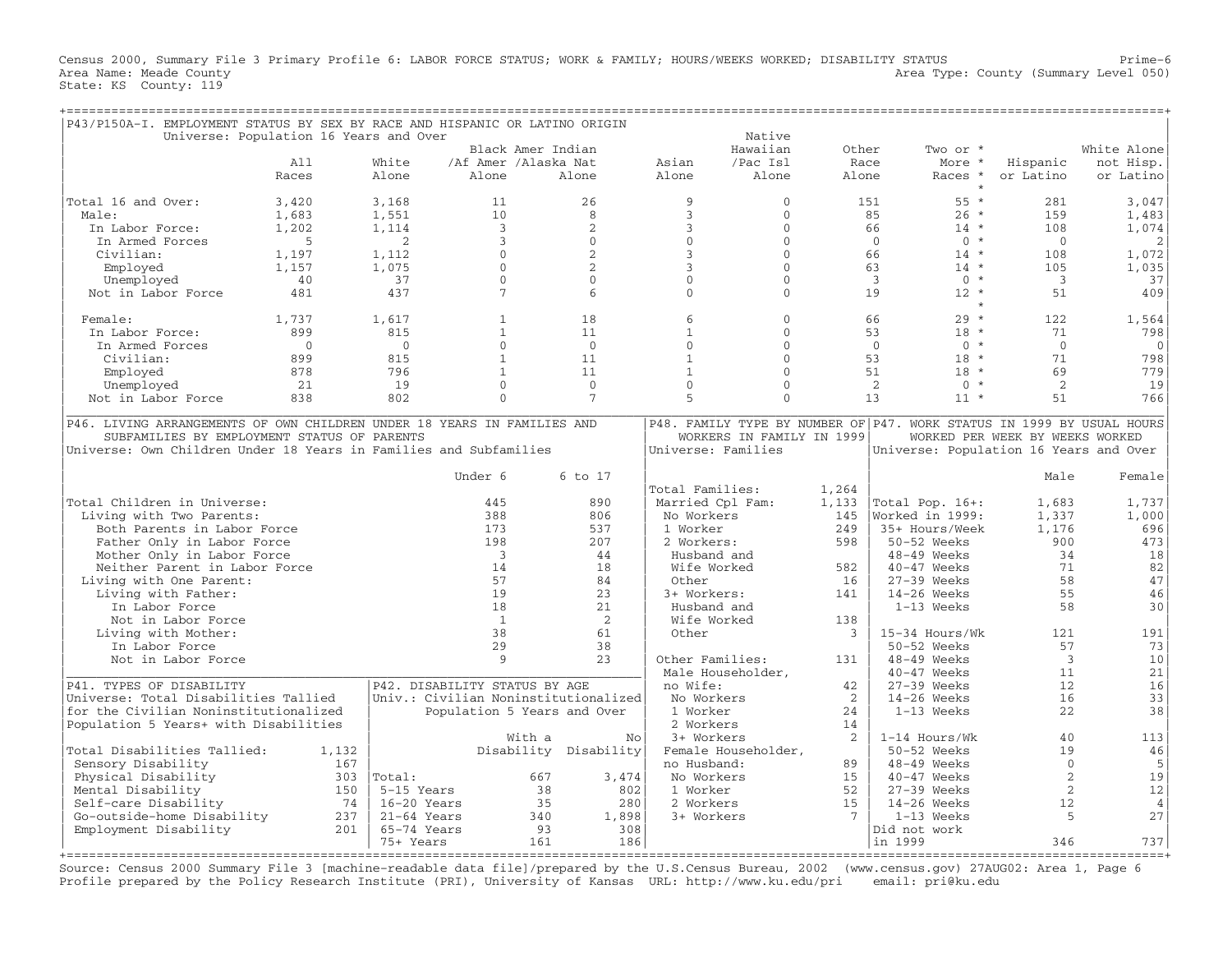Census 2000, Summary File 3 Primary Profile 6: LABOR FORCE STATUS; WORK & FAMILY; HOURS/WEEKS WORKED; DISABILITY STATUS Prime−6 Area Name: Meade County **Area Type: County Area Type: County (Summary Level 050)** State: KS County: 119

| P43/P150A-I. EMPLOYMENT STATUS BY SEX BY RACE AND HISPANIC OR LATINO ORIGIN |                                        |                                      |                             |                       |                    |                           |                 |                                                                       |                                 |                |
|-----------------------------------------------------------------------------|----------------------------------------|--------------------------------------|-----------------------------|-----------------------|--------------------|---------------------------|-----------------|-----------------------------------------------------------------------|---------------------------------|----------------|
|                                                                             | Universe: Population 16 Years and Over |                                      |                             |                       |                    | Native                    |                 |                                                                       |                                 |                |
|                                                                             |                                        |                                      | Black Amer Indian           |                       |                    | Hawaiian                  | Other           | Two or *                                                              |                                 | White Alone    |
|                                                                             | A11                                    | White                                | /Af Amer /Alaska Nat        |                       | Asian              | /Pac Isl                  | Race            | More *                                                                | Hispanic                        | not Hisp.      |
|                                                                             | Races                                  | Alone                                | Alone                       | Alone                 | Alone              | Alone                     | Alone           | Races *                                                               | or Latino                       | or Latino      |
| Total 16 and Over:                                                          | 3,420                                  | 3,168                                | 11                          | 26                    | 9                  | $\mathbf{0}$              |                 | $55 *$<br>151                                                         | 281                             | 3,047          |
| Male:                                                                       | 1,683                                  | 1,551                                | 10                          | 8                     | $\mathbf{3}$       | $\Omega$                  |                 | $26 *$<br>85                                                          | 159                             | 1,483          |
| In Labor Force:                                                             | 1,202                                  | 1,114                                | $\overline{3}$              | 2                     | 3                  | $\mathbf{0}$              |                 | 66<br>$14 *$                                                          | 108                             | 1,074          |
| In Armed Forces                                                             | 5                                      | 2                                    | $\overline{3}$              | $\Omega$              | $\mathbf{0}$       | $\Omega$                  |                 | $\Omega$<br>$0 *$                                                     | $\Omega$                        | 2              |
| Civilian:                                                                   | 1,197                                  | 1,112                                | $\Omega$                    | $\overline{2}$        | 3                  | $\Omega$                  |                 | 66<br>$14 *$                                                          | 108                             | 1,072          |
| Employed                                                                    | 1,157                                  | 1,075                                | $\mathbf{0}$                | $\overline{2}$        | $\overline{3}$     | $\Omega$                  |                 | 63<br>$14 *$                                                          | 105                             | 1,035          |
| Unemployed                                                                  | 40                                     | 37                                   | $\mathbf{0}$                | $\mathbf{0}$          | $\mathbf{0}$       | $\mathbf{0}$              |                 | $0 *$<br>$\overline{3}$                                               | $\overline{3}$                  | 37             |
| Not in Labor Force                                                          | 481                                    | 437                                  | 7                           | $6\overline{6}$       | $\Omega$           | $\Omega$                  |                 | 19<br>$12 *$                                                          | 51                              | 409            |
|                                                                             |                                        |                                      |                             |                       |                    |                           |                 | $\star$                                                               |                                 |                |
| Female:                                                                     | 1,737                                  | 1,617                                | $\mathbf{1}$                | 18                    | 6                  | $\Omega$                  |                 | $29 *$<br>66                                                          | 122                             | 1,564          |
| In Labor Force:                                                             | 899                                    | 815                                  | $\mathbf{1}$                | 11                    | $\mathbf{1}$       | $\mathbf{0}$              |                 | 53<br>$18 *$                                                          | 71                              | 798            |
| In Armed Forces                                                             | $\Omega$                               | $\Omega$                             | $\Omega$                    | $\Omega$              | $\Omega$           | $\Omega$                  |                 | $\overline{0}$<br>$0 *$                                               | $\Omega$                        | $\mathbf{0}$   |
| Civilian:                                                                   | 899                                    | 815                                  | $\mathbf{1}$                | 11                    | $\mathbf{1}$       | $\mathbf{0}$              |                 | 53<br>$18 *$                                                          | 71                              | 798            |
| Employed                                                                    | 878                                    | 796                                  | $\mathbf{1}$                | 11                    | $\mathbf{1}$       | $\Omega$                  |                 | 51<br>$18 *$                                                          | 69                              | 779            |
| Unemployed                                                                  | 21                                     | 19                                   | $\Omega$                    | $\mathbf{0}$          | $\Omega$           | $\Omega$                  |                 | 2<br>$\Omega$<br>$\star$                                              | 2                               | 19             |
| Not in Labor Force                                                          | 838                                    | 802                                  | $\Omega$                    | $\overline{7}$        | 5                  | $\Omega$                  |                 | 13<br>$11 *$                                                          | 51                              | 766            |
|                                                                             |                                        |                                      |                             |                       |                    |                           |                 |                                                                       |                                 |                |
| P46. LIVING ARRANGEMENTS OF OWN CHILDREN UNDER 18 YEARS IN FAMILIES AND     |                                        |                                      |                             |                       |                    |                           |                 | P48. FAMILY TYPE BY NUMBER OF P47. WORK STATUS IN 1999 BY USUAL HOURS |                                 |                |
| SUBFAMILIES BY EMPLOYMENT STATUS OF PARENTS                                 |                                        |                                      |                             |                       |                    | WORKERS IN FAMILY IN 1999 |                 |                                                                       | WORKED PER WEEK BY WEEKS WORKED |                |
| Universe: Own Children Under 18 Years in Families and Subfamilies           |                                        |                                      |                             |                       | Universe: Families |                           |                 | Universe: Population 16 Years and Over                                |                                 |                |
|                                                                             |                                        |                                      |                             |                       |                    |                           |                 |                                                                       |                                 |                |
|                                                                             |                                        |                                      | Under 6                     | 6 to 17               |                    |                           |                 |                                                                       | Male                            | Female         |
|                                                                             |                                        |                                      |                             |                       | Total Families:    |                           | 1,264           |                                                                       |                                 |                |
| Total Children in Universe:                                                 |                                        |                                      | 445                         | 890                   | Married Cpl Fam:   |                           | 1,133           | Total Pop. 16+:                                                       | 1,683                           | 1,737          |
| Living with Two Parents:                                                    |                                        |                                      | 388                         | 806                   | No Workers         |                           | 145             | Worked in 1999:                                                       | 1,337                           | 1,000          |
| Both Parents in Labor Force                                                 |                                        |                                      | 173                         | 537                   | 1 Worker           |                           | 249             | 35+ Hours/Week                                                        | 1,176                           | 696            |
| Father Only in Labor Force                                                  |                                        |                                      | 198                         | 207                   | 2 Workers:         |                           | 598             | 50-52 Weeks                                                           | 900                             | 473            |
| Mother Only in Labor Force                                                  |                                        |                                      | $\overline{\mathbf{3}}$     | 44                    | Husband and        |                           |                 | 48-49 Weeks                                                           | 34                              | 18             |
| Neither Parent in Labor Force                                               |                                        |                                      | 14                          | 18                    | Wife Worked        |                           | 582             | 40-47 Weeks                                                           | 71                              | 82             |
| Living with One Parent:                                                     |                                        |                                      | 57                          | 84                    | Other              |                           | 16              | $27-39$ Weeks                                                         | 58                              | 47             |
| Living with Father:                                                         |                                        |                                      | 19                          | 23                    | 3+ Workers:        |                           | 141             | 14-26 Weeks                                                           | 55                              | 46             |
| In Labor Force                                                              |                                        |                                      | 18                          | 21                    | Husband and        |                           |                 | $1-13$ Weeks                                                          | 58                              | 30             |
| Not in Labor Force                                                          |                                        |                                      | 1                           | 2                     | Wife Worked        |                           | 138             |                                                                       |                                 |                |
| Living with Mother:                                                         |                                        |                                      | 38                          | 61                    | Other              |                           | 3               | 15-34 Hours/Wk                                                        | 121                             | 191            |
| In Labor Force                                                              |                                        |                                      | 29                          | 38                    |                    |                           |                 | $50-52$ Weeks                                                         | 57                              | 73             |
| Not in Labor Force                                                          |                                        |                                      | 9                           | 2.3                   | Other Families:    |                           | 131             | 48-49 Weeks                                                           | $\overline{3}$                  | 10             |
|                                                                             |                                        |                                      |                             |                       | Male Householder,  |                           |                 | $40 - 47$ Weeks                                                       | 11                              | 21             |
| P41. TYPES OF DISABILITY                                                    |                                        | P42. DISABILITY STATUS BY AGE        |                             |                       | no Wife:           |                           | 42              | $27-39$ Weeks                                                         | 12                              | 16             |
| Universe: Total Disabilities Tallied                                        |                                        | Univ.: Civilian Noninstitutionalized |                             |                       | No Workers         |                           | 2               | $14-26$ Weeks                                                         | 16                              | 33             |
| for the Civilian Noninstitutionalized                                       |                                        |                                      | Population 5 Years and Over |                       | 1 Worker           |                           | 24              | $1-13$ Weeks                                                          | 22                              | 38             |
| Population 5 Years+ with Disabilities                                       |                                        |                                      |                             |                       | 2 Workers          |                           | 14              |                                                                       |                                 |                |
|                                                                             |                                        |                                      | With a                      | No                    | 3+ Workers         |                           | 2               | $1-14$ Hours/Wk                                                       | 40                              | 113            |
| Total Disabilities Tallied:                                                 | 1,132                                  |                                      |                             | Disability Disability |                    | Female Householder,       |                 | 50-52 Weeks                                                           | 19                              | 46             |
| Sensory Disability                                                          | 167                                    |                                      |                             |                       | no Husband:        |                           | 89              | 48-49 Weeks                                                           | $\Omega$                        | 5              |
| Physical Disability                                                         | 303                                    | Total:                               | 667                         | 3,474                 | No Workers         |                           | 15              | $40-47$ Weeks                                                         | 2                               | 19             |
| Mental Disability                                                           | 150                                    | 5-15 Years                           | 38                          | 802                   | 1 Worker           |                           | 52              | $27-39$ Weeks                                                         | $\overline{2}$                  | 12             |
| Self-care Disability                                                        | 74                                     | 16-20 Years                          | 35                          | 280                   | 2 Workers          |                           | 15              | $14-26$ Weeks                                                         | 12                              | $\overline{4}$ |
| Go-outside-home Disability                                                  | 237                                    | $21-64$ Years                        | 340                         | 1,898                 | 3+ Workers         |                           | $7\phantom{.0}$ | $1-13$ Weeks                                                          | 5                               | 27             |
| Employment Disability                                                       | 201                                    | 65-74 Years                          | 93                          | 308                   |                    |                           |                 | Did not work                                                          |                                 |                |
|                                                                             |                                        | 75+ Years                            | 161                         | 186                   |                    |                           |                 | in 1999                                                               | 346                             | 737            |
|                                                                             |                                        |                                      |                             |                       |                    |                           |                 |                                                                       |                                 | ====+          |

Source: Census 2000 Summary File 3 [machine−readable data file]/prepared by the U.S.Census Bureau, 2002 (www.census.gov) 27AUG02: Area 1, Page 6 Profile prepared by the Policy Research Institute (PRI), University of Kansas URL: http://www.ku.edu/pri email: pri@ku.edu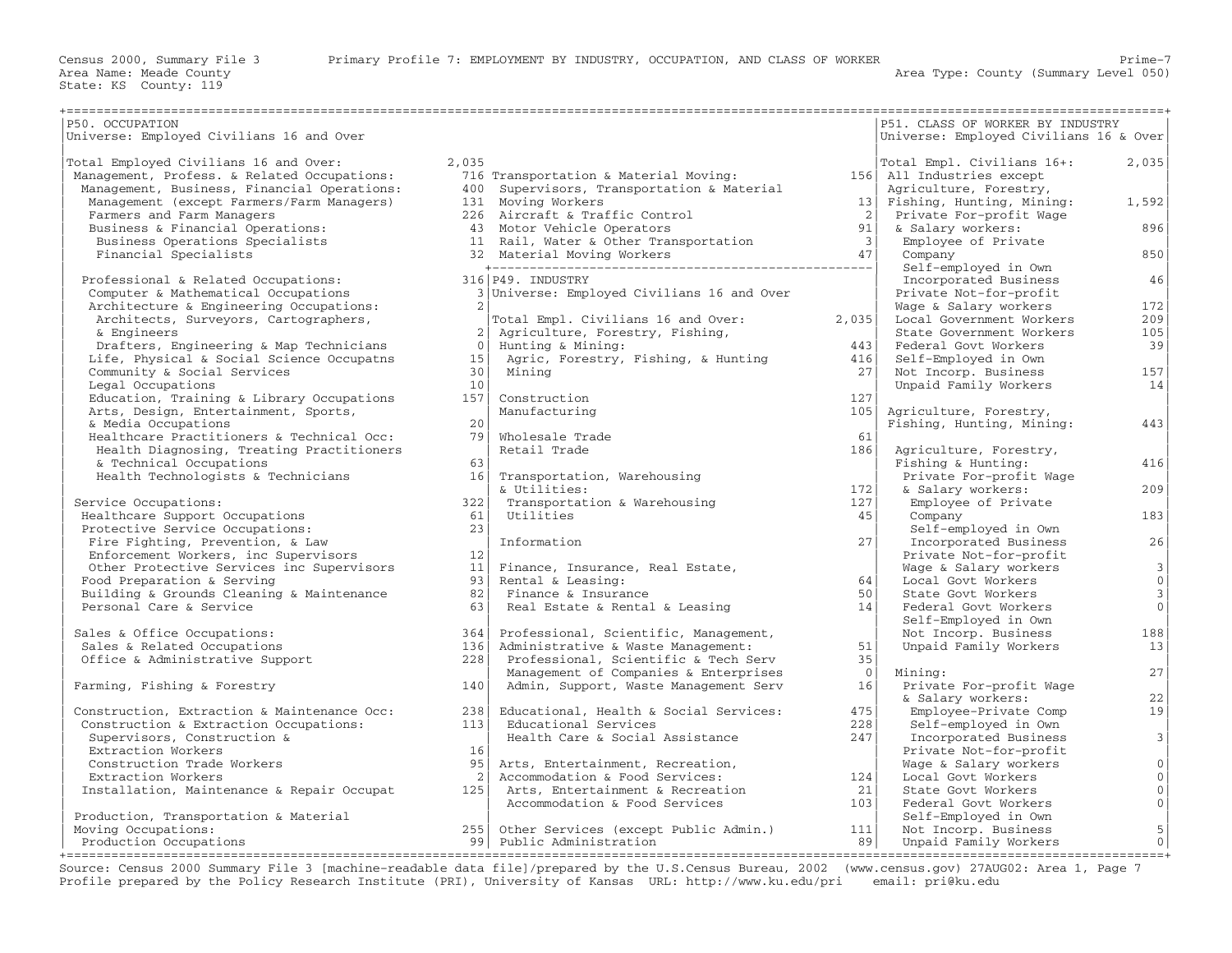| P50. OCCUPATION                                   |                 |                                                                       |                 | P51. CLASS OF WORKER BY INDUSTRY       |                           |
|---------------------------------------------------|-----------------|-----------------------------------------------------------------------|-----------------|----------------------------------------|---------------------------|
| Universe: Employed Civilians 16 and Over          |                 |                                                                       |                 | Universe: Employed Civilians 16 & Over |                           |
|                                                   |                 |                                                                       |                 |                                        |                           |
| Total Employed Civilians 16 and Over:             | 2,035           |                                                                       |                 | Total Empl. Civilians 16+:             | 2,035                     |
| Management, Profess. & Related Occupations:       |                 | 716 Transportation & Material Moving:                                 |                 | 156 All Industries except              |                           |
| Management, Business, Financial Operations:       |                 | 400 Supervisors, Transportation & Material                            |                 | Agriculture, Forestry,                 |                           |
| Management (except Farmers/Farm Managers)         |                 | 131 Moving Workers                                                    |                 | 13   Fishing, Hunting, Mining:         | 1,592                     |
| Farmers and Farm Managers                         |                 | 226 Aircraft & Traffic Control                                        | 2 <sup>1</sup>  | Private For-profit Wage                |                           |
| Business & Financial Operations:                  |                 | 43 Motor Vehicle Operators                                            | 91              | & Salary workers:                      | 896                       |
| Business Operations Specialists                   |                 | 11 Rail, Water & Other Transportation                                 | $\frac{3}{ }$   | Employee of Private                    |                           |
| Financial Specialists                             |                 |                                                                       | 47              | Company                                | 850                       |
|                                                   |                 |                                                                       |                 | Self-employed in Own                   |                           |
| Professional & Related Occupations:               |                 | 316 P49. INDUSTRY                                                     |                 | Incorporated Business                  | 46                        |
| Computer & Mathematical Occupations               |                 | 3 Universe: Employed Civilians 16 and Over                            |                 | Private Not-for-profit                 |                           |
| Architecture & Engineering Occupations:           | $\overline{2}$  |                                                                       |                 | Wage & Salary workers                  | 172                       |
| Architects, Surveyors, Cartographers,             |                 | Total Empl. Civilians 16 and Over:                                    | 2,035           | Local Government Workers               | 209                       |
| & Engineers                                       | 2 <sup>1</sup>  | Agriculture, Forestry, Fishing,                                       |                 | State Government Workers               | 105                       |
| Drafters, Engineering & Map Technicians           | $\Omega$        | Hunting & Mining:                                                     | 443             | Federal Govt Workers                   | 39                        |
| Life, Physical & Social Science Occupatns         | 15 <sup>1</sup> | Agric, Forestry, Fishing, & Hunting                                   | 416             | Self-Employed in Own                   |                           |
| Community & Social Services                       | 30              | Mining                                                                | 271             | Not Incorp. Business                   | 157                       |
| Legal Occupations                                 | 10 <sup>1</sup> |                                                                       |                 | Unpaid Family Workers                  | 14                        |
| Education, Training & Library Occupations         | 157             | Construction                                                          | 127             |                                        |                           |
| Arts, Design, Entertainment, Sports,              |                 | Manufacturing                                                         | 105             | Agriculture, Forestry,                 |                           |
| & Media Occupations                               | 20              |                                                                       |                 | Fishing, Hunting, Mining:              | 443                       |
| Healthcare Practitioners & Technical Occ:         | 79              | Wholesale Trade                                                       | 61              |                                        |                           |
| Health Diagnosing, Treating Practitioners         |                 | Retail Trade                                                          | 186             | Agriculture, Forestry,                 |                           |
| & Technical Occupations                           | 63              |                                                                       |                 | Fishing & Hunting:                     | 416                       |
| Health Technologists & Technicians                | 16 <sup>1</sup> | Transportation, Warehousing                                           |                 | Private For-profit Wage                |                           |
|                                                   |                 | & Utilities:                                                          | 172             | & Salary workers:                      | 209                       |
| Service Occupations:                              | 322             | Transportation & Warehousing                                          | 127             | Employee of Private                    |                           |
| Healthcare Support Occupations                    | 61              | Utilities                                                             | 45              | Company                                | 183                       |
| Protective Service Occupations:                   | 23              |                                                                       |                 | Self-employed in Own                   |                           |
| Fire Fighting, Prevention, & Law                  |                 | Information                                                           | 27 <sup>1</sup> | Incorporated Business                  | 26                        |
| Enforcement Workers, inc Supervisors              | 12              |                                                                       |                 | Private Not-for-profit                 |                           |
| Other Protective Services inc Supervisors         | 11              | Finance, Insurance, Real Estate,                                      |                 | Wage & Salary workers                  | $\overline{3}$            |
| Food Preparation & Serving                        | 931             | Rental & Leasing:                                                     | 64              | Local Govt Workers                     | 0                         |
| Building & Grounds Cleaning & Maintenance         | 82              | Finance & Insurance                                                   | 50 <sub>1</sub> | State Govt Workers                     | 3                         |
| Personal Care & Service                           | 63              | Real Estate & Rental & Leasing                                        | 14              | Federal Govt Workers                   | 0                         |
|                                                   |                 |                                                                       |                 | Self-Employed in Own                   |                           |
| Sales & Office Occupations:                       | 364             | Professional, Scientific, Management,                                 |                 | Not Incorp. Business                   | 188                       |
| Sales & Related Occupations                       | 136             | Administrative & Waste Management:                                    | 51              | Unpaid Family Workers                  | 13                        |
| Office & Administrative Support                   | 228             | Professional, Scientific & Tech Serv                                  | 35              |                                        |                           |
|                                                   |                 | Management of Companies & Enterprises                                 | $\overline{0}$  | Mining:                                | 27                        |
| Farming, Fishing & Forestry                       | 140             | Admin, Support, Waste Management Serv                                 | 16              | Private For-profit Wage                |                           |
|                                                   |                 |                                                                       |                 | & Salary workers:                      | 22                        |
| Construction, Extraction & Maintenance Occ:       | 238             | Educational, Health & Social Services:                                | 475             | Employee-Private Comp                  | 19                        |
| Construction & Extraction Occupations:            | 113             | Educational Services                                                  | 228             | Self-employed in Own                   |                           |
| Supervisors, Construction &<br>Extraction Workers | 16              | Health Care & Social Assistance                                       | 247             | Incorporated Business                  | 3                         |
|                                                   |                 |                                                                       |                 | Private Not-for-profit                 |                           |
| Construction Trade Workers                        | $95 \mid$       | Arts, Entertainment, Recreation,                                      | 124             | Wage & Salary workers                  | 0 <br>$\circ$             |
| Extraction Workers                                | 2 <sup>1</sup>  | Accommodation & Food Services:                                        |                 | Local Govt Workers                     |                           |
| Installation, Maintenance & Repair Occupat        | 125             | Arts, Entertainment & Recreation<br>Accommodation & Food Services     | 21<br>103       | State Govt Workers                     | $\overline{0}$<br>$\circ$ |
|                                                   |                 |                                                                       |                 | Federal Govt Workers                   |                           |
| Production, Transportation & Material             |                 |                                                                       | 111             | Self-Employed in Own                   |                           |
| Moving Occupations:                               |                 | 255 Other Services (except Public Admin.)<br>99 Public Administration | 89              | Not Incorp. Business                   | $\overline{5}$<br>$\circ$ |
| Production Occupations                            |                 |                                                                       |                 | Unpaid Family Workers                  |                           |

Source: Census 2000 Summary File 3 [machine−readable data file]/prepared by the U.S.Census Bureau, 2002 (www.census.gov) 27AUG02: Area 1, Page 7 Profile prepared by the Policy Research Institute (PRI), University of Kansas URL: http://www.ku.edu/pri email: pri@ku.edu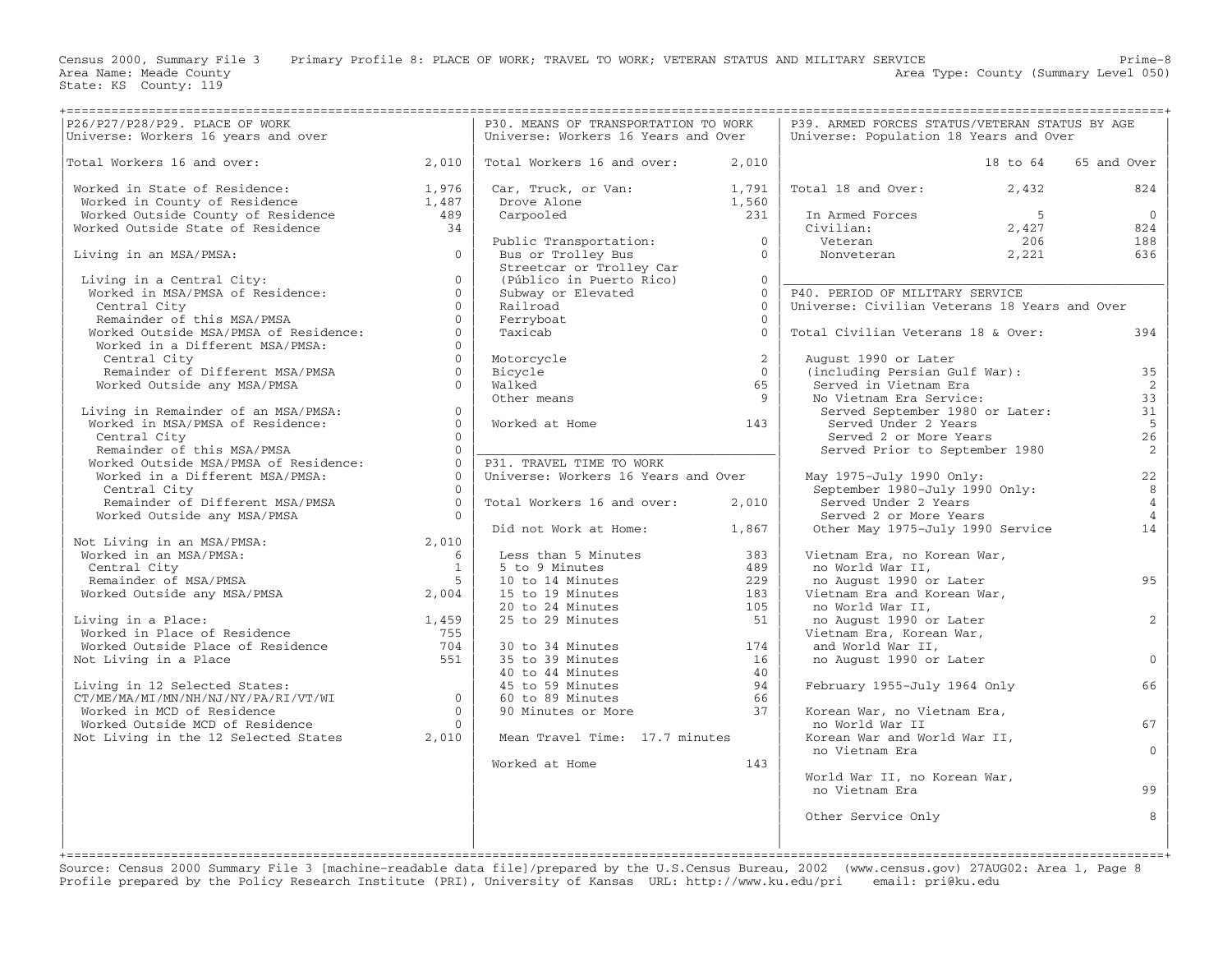Census 2000, Summary File 3 Primary Profile 8: PLACE OF WORK; TRAVEL TO WORK; VETERAN STATUS AND MILITARY SERVICE Prime−8

Area Type: County (Summary Level 050)

|                                                                                                                                                                                                                                                             |                                      | P30. MEANS OF TRANSPORTATION TO WORK                                                                                         |                | P39. ARMED FORCES STATUS/VETERAN STATUS BY AGE                       |             |                 |
|-------------------------------------------------------------------------------------------------------------------------------------------------------------------------------------------------------------------------------------------------------------|--------------------------------------|------------------------------------------------------------------------------------------------------------------------------|----------------|----------------------------------------------------------------------|-------------|-----------------|
|                                                                                                                                                                                                                                                             |                                      | Universe: Workers 16 Years and Over                                                                                          |                | Universe: Population 18 Years and Over                               |             |                 |
|                                                                                                                                                                                                                                                             |                                      |                                                                                                                              |                |                                                                      |             |                 |
| Total Workers 16 and over:<br>2,010                                                                                                                                                                                                                         |                                      | Total Workers 16 and over:                                                                                                   | 2,010          |                                                                      | 18 to 64    | 65 and Over     |
| Worked in State of Residence: 1,976<br>Worked in County of Residence 1,487<br>Worked Outside County of Residence 489<br>Worked Outside State of Residence 34                                                                                                |                                      |                                                                                                                              |                | Total 18 and Over: 2,432                                             |             | 824             |
|                                                                                                                                                                                                                                                             |                                      | Car, Truck, or Van: 1,791<br>Drove Alone 1,560<br>Carpooled 231                                                              |                |                                                                      |             |                 |
|                                                                                                                                                                                                                                                             |                                      |                                                                                                                              |                |                                                                      | $5^{\circ}$ | $\overline{0}$  |
|                                                                                                                                                                                                                                                             |                                      |                                                                                                                              |                | 1 Armed Forces 5<br>Civilian: 5<br>Veteran 2,427<br>Nonveteran 2,221 | 2,427       | 824             |
|                                                                                                                                                                                                                                                             |                                      |                                                                                                                              |                |                                                                      | 206         | 188             |
| $\overline{0}$<br>Living in an MSA/PMSA:                                                                                                                                                                                                                    |                                      | Public Transportation: 0<br>Bus or Trolley Bus 0                                                                             |                |                                                                      |             | 636             |
|                                                                                                                                                                                                                                                             |                                      |                                                                                                                              |                |                                                                      |             |                 |
|                                                                                                                                                                                                                                                             | $\Omega$                             |                                                                                                                              |                |                                                                      |             |                 |
| Living in a Central City:<br>Worked in MSA/PMSA of Residence:                                                                                                                                                                                               | $\Omega$                             | Streetcar or Trolley Car<br>(Público in Puerto Rico) 0<br>Subway or Elevated 0                                               |                | P40. PERIOD OF MILITARY SERVICE                                      |             |                 |
|                                                                                                                                                                                                                                                             | $\Omega$<br>Railroad                 |                                                                                                                              | $\Omega$       | Universe: Civilian Veterans 18 Years and Over                        |             |                 |
|                                                                                                                                                                                                                                                             | $\Omega$<br>Ferryboat                |                                                                                                                              | $\Omega$       |                                                                      |             |                 |
| Central City<br>Remainder of this MSA/PMSA<br>Worked Outside MSA/PMSA of Residence:                                                                                                                                                                         | $\Omega$<br>Taxicab                  |                                                                                                                              | $\Omega$       | Total Civilian Veterans 18 & Over:                                   |             | 394             |
| Worked in a Different MSA/PMSA:                                                                                                                                                                                                                             | $\Omega$                             |                                                                                                                              |                |                                                                      |             |                 |
| Central City                                                                                                                                                                                                                                                | $\Omega$<br>Motorcycle               |                                                                                                                              | $\overline{2}$ | August 1990 or Later                                                 |             |                 |
|                                                                                                                                                                                                                                                             | $\Omega$<br>Bicycle                  |                                                                                                                              | $\overline{0}$ | (including Persian Gulf War):                                        |             | 35              |
| Remainder of Different MSA/PMSA<br>Worked Outside any MSA/DMSA<br>Worked Outside any MSA/PMSA                                                                                                                                                               | $\cap$<br>Walked                     |                                                                                                                              | 65             | Served in Vietnam Era                                                |             | <sup>2</sup>    |
|                                                                                                                                                                                                                                                             | Other means                          |                                                                                                                              | $\overline{9}$ | No Vietnam Era Service:                                              |             | 33              |
| Living in Remainder of an MSA/PMSA:                                                                                                                                                                                                                         | $\overline{0}$                       |                                                                                                                              |                | Served September 1980 or Later:                                      |             | 31              |
|                                                                                                                                                                                                                                                             | $\Omega$<br>Worked at Home           |                                                                                                                              | 143            | Served Under 2 Years                                                 |             | $5\overline{5}$ |
| J --- ACHIMATING LUI AN MSA/PMSA:<br>Worked in MSA/PMSA of Residence:<br>Central City<br>Central City                                                                                                                                                       | $\Omega$                             |                                                                                                                              |                | Served 2 or More Years                                               |             | 26              |
|                                                                                                                                                                                                                                                             | $\Omega$                             |                                                                                                                              |                | Served 2 or more rears<br>Served Prior to September 1980             |             | 2               |
| Remainder of this MSA/PMSA<br>Worked Outside MSA/PMSA of Residence:                                                                                                                                                                                         | $\Omega$<br>P31. TRAVEL TIME TO WORK |                                                                                                                              |                |                                                                      |             |                 |
| Worked in a Different MSA/PMSA:                                                                                                                                                                                                                             | $\bigcap$                            | Universe: Workers 16 Years and Over                                                                                          |                | May 1975-July 1990 Only:                                             |             | 22              |
| Central City                                                                                                                                                                                                                                                | $\bigcap$                            |                                                                                                                              |                | September 1980-July 1990 Only:                                       |             | 8               |
|                                                                                                                                                                                                                                                             |                                      | Total Workers 16 and over:                                                                                                   | 2,010          |                                                                      |             | $\overline{4}$  |
| Remainder of Different MSA/PMSA $0$ of $0$ of $0$ of $0$ of $0$ of $0$ of $0$ of $0$ of $0$ of $0$ of $0$ of $0$ of $0$ of $0$ of $0$ of $0$ of $0$ of $0$ of $0$ of $0$ of $0$ of $0$ of $0$ of $0$ of $0$ of $0$ of $0$ of<br>Worked Outside any MSA/PMSA |                                      |                                                                                                                              |                | Served Under 2 Years<br>Served 2 or More Years                       |             | $\overline{4}$  |
|                                                                                                                                                                                                                                                             |                                      |                                                                                                                              |                |                                                                      |             | 14              |
|                                                                                                                                                                                                                                                             |                                      | Did not Work at Home: 1,867                                                                                                  |                | Other May 1975-July 1990 Service                                     |             |                 |
| Not Living in an MSA/PMSA: 2,010<br>Worked in an MSA/PMSA: 6<br>Central City 1<br>Remainder of MSA/PMSA 5                                                                                                                                                   |                                      | Less than 5 Minutes                                                                                                          | 383            | Vietnam Era, no Korean War,                                          |             |                 |
|                                                                                                                                                                                                                                                             | $\sim$ 1                             |                                                                                                                              | 489            | no World War II,                                                     |             |                 |
|                                                                                                                                                                                                                                                             | 5 <sup>5</sup>                       | 5 to 9 Minutes<br>10 to 14 Minutes<br>15 to 19 Minutes<br>20 to 24 Minutes<br>25 to 29 Minutes                               | 229            | no August 1990 or Later                                              |             | 95              |
| Worked Outside any MSA/PMSA 2,004                                                                                                                                                                                                                           |                                      |                                                                                                                              | 183            | Vietnam Era and Korean War,                                          |             |                 |
|                                                                                                                                                                                                                                                             |                                      |                                                                                                                              | 105            | no World War II,                                                     |             |                 |
| Living in a Place:                                                                                                                                                                                                                                          |                                      |                                                                                                                              | 51             | no August 1990 or Later                                              |             | 2               |
|                                                                                                                                                                                                                                                             |                                      |                                                                                                                              |                | Vietnam Era, Korean War,                                             |             |                 |
|                                                                                                                                                                                                                                                             |                                      |                                                                                                                              | 174            | and World War II,                                                    |             |                 |
| Accounting in a Place:<br>Worked in Place of Residence and Morked Outside Place of Residence 755<br>Worked Outside Place of Residence 704<br>The Place 551                                                                                                  |                                      | 30 to 34 Minutes<br>35 to 39 Minutes<br>40 to 44 Minutes<br>45 to 59 Minutes<br>60 to 89 Minutes<br>90 Minutes or More<br>37 |                | no August 1990 or Later                                              |             | $\overline{0}$  |
| Not Living in a Place                                                                                                                                                                                                                                       |                                      |                                                                                                                              |                |                                                                      |             |                 |
|                                                                                                                                                                                                                                                             |                                      |                                                                                                                              |                | February 1955-July 1964 Only                                         |             | 66              |
| Living in 12 Selected States:<br>CT/ME/MA/MI/MN/NH/NJ/NY/PA/RI/VT/WI<br>Worked in MCD of Residence 0<br>Worked Outside MCD of Residence 0<br>Not Living in the 12 Selected States 2,010                                                                     |                                      |                                                                                                                              |                |                                                                      |             |                 |
|                                                                                                                                                                                                                                                             |                                      |                                                                                                                              |                | Korean War, no Vietnam Era,                                          |             |                 |
|                                                                                                                                                                                                                                                             |                                      |                                                                                                                              |                | no World War II                                                      |             | 67              |
|                                                                                                                                                                                                                                                             |                                      | Mean Travel Time: 17.7 minutes                                                                                               |                | Korean War and World War II,                                         |             |                 |
|                                                                                                                                                                                                                                                             |                                      |                                                                                                                              |                | no Vietnam Era                                                       |             | $\mathbf{0}$    |
|                                                                                                                                                                                                                                                             |                                      |                                                                                                                              | 143            |                                                                      |             |                 |
|                                                                                                                                                                                                                                                             |                                      | Worked at Home                                                                                                               |                |                                                                      |             |                 |
|                                                                                                                                                                                                                                                             |                                      |                                                                                                                              |                | World War II, no Korean War,<br>no Vietnam Era                       |             | 99              |
|                                                                                                                                                                                                                                                             |                                      |                                                                                                                              |                |                                                                      |             |                 |
|                                                                                                                                                                                                                                                             |                                      |                                                                                                                              |                | Other Service Only                                                   |             | 8               |
|                                                                                                                                                                                                                                                             |                                      |                                                                                                                              |                |                                                                      |             |                 |
|                                                                                                                                                                                                                                                             |                                      |                                                                                                                              |                |                                                                      |             |                 |
|                                                                                                                                                                                                                                                             |                                      |                                                                                                                              |                |                                                                      |             |                 |

Source: Census 2000 Summary File 3 [machine−readable data file]/prepared by the U.S.Census Bureau, 2002 (www.census.gov) 27AUG02: Area 1, Page 8 Profile prepared by the Policy Research Institute (PRI), University of Kansas URL: http://www.ku.edu/pri email: pri@ku.edu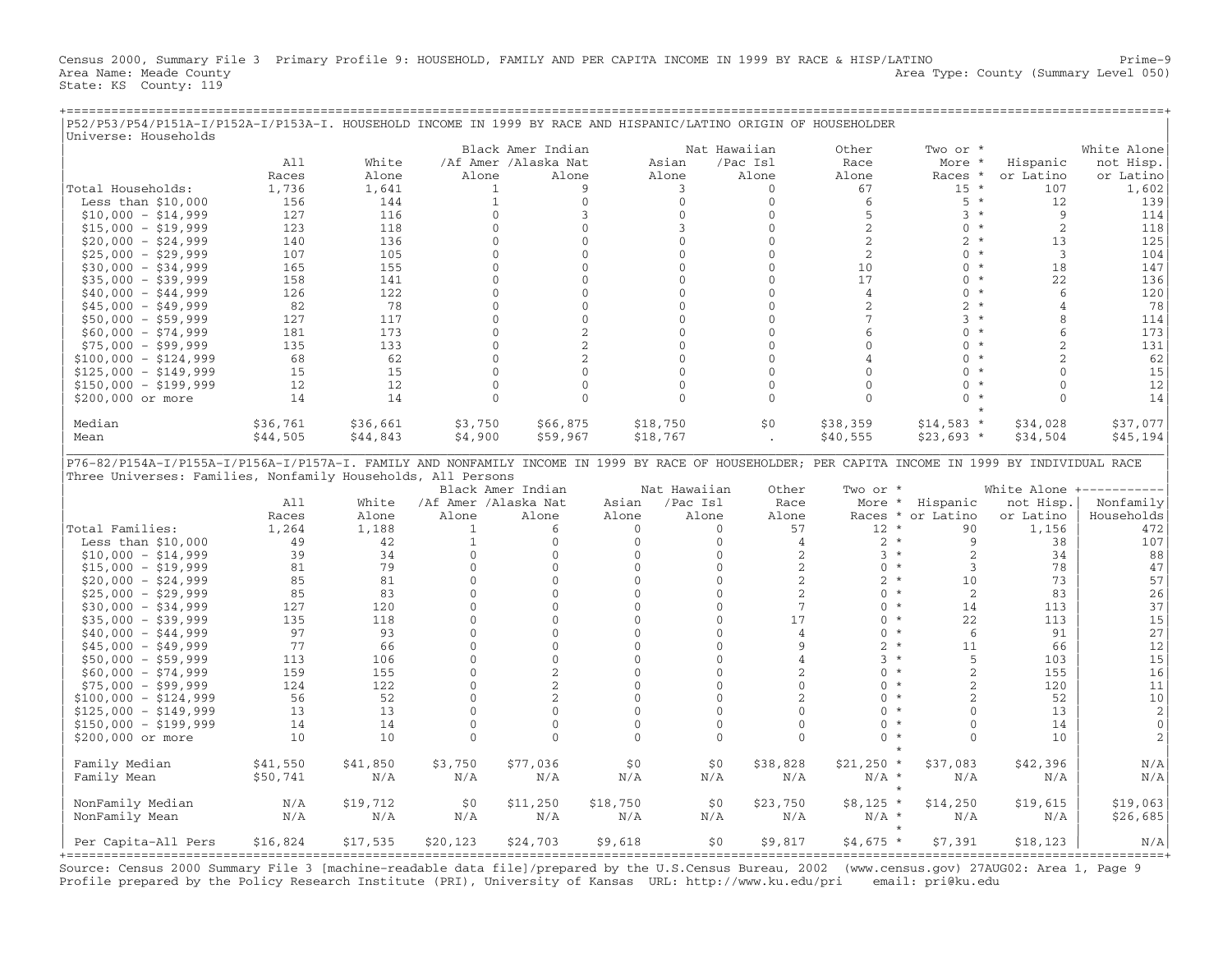Census 2000, Summary File 3 Primary Profile 9: HOUSEHOLD, FAMILY AND PER CAPITA INCOME IN 1999 BY RACE & HISP/LATINO Prime−9 Area Name: Meade County **Area Type: County Area Type: County (Summary Level 050)** State: KS County: 119

+===================================================================================================================================================+

| P52/P53/P54/P151A-I/P152A-I/P153A-I. HOUSEHOLD INCOME IN 1999 BY RACE AND HISPANIC/LATINO ORIGIN OF HOUSEHOLDER<br>Universe: Households |          |          |                      |                      |                |                          |                |                    |                           |                          |                                      |
|-----------------------------------------------------------------------------------------------------------------------------------------|----------|----------|----------------------|----------------------|----------------|--------------------------|----------------|--------------------|---------------------------|--------------------------|--------------------------------------|
|                                                                                                                                         |          |          |                      | Black Amer Indian    |                |                          | Nat Hawaiian   | Other              | Two or *                  |                          | White Alone                          |
|                                                                                                                                         | A11      | White    |                      | /Af Amer /Alaska Nat |                | Asian                    | /Pac Isl       | Race               | More                      | Hispanic                 | not Hisp.                            |
|                                                                                                                                         | Races    | Alone    | Alone                | Alone                |                | Alone                    | Alone          | Alone              | Races *                   | or Latino                | or Latino                            |
| Total Households:                                                                                                                       | 1,736    | 1,641    |                      | 1                    | 9              | 3                        | $\mathbf{0}$   | 67                 | $15 *$                    | 107                      | 1,602                                |
| Less than $$10,000$                                                                                                                     | 156      | 144      |                      | $\mathbf{1}$         | $\mathbf{0}$   | $\Omega$                 | $\Omega$       | 6                  | $5 *$                     | 12                       | 139                                  |
| $$10,000 - $14,999$                                                                                                                     | 127      | 116      |                      | $\mathbf{0}$         | 3              | $\mathbf{0}$             | $\mathbf{0}$   | 5                  | $3 *$                     | 9                        | 114                                  |
| $$15,000 - $19,999$                                                                                                                     | 123      | 118      |                      | $\mathbf{0}$         | $\mathbf{0}$   | $\mathbf{3}$             | $\mathbf{0}$   | 2                  | $0 *$                     | $\overline{2}$           | 118                                  |
| $$20,000 - $24,999$                                                                                                                     | 140      | 136      |                      | $\mathbf{0}$         | $\mathbf{0}$   | $\mathbf{0}$             | $\mathbf{0}$   | $\overline{c}$     | $2 *$                     | 13                       | 125                                  |
| $$25,000 - $29,999$                                                                                                                     | 107      | 105      |                      | $\mathbf{0}$         | $\mathbf{0}$   | $\mathbf{0}$             | $\mathbf{0}$   | $\overline{c}$     | $0 *$                     | $\overline{3}$           | 104                                  |
| $$30,000 - $34,999$                                                                                                                     | 165      | 155      |                      | $\mathbf{0}$         | $\mathbf{0}$   | $\Omega$                 | $\Omega$       | 10                 | $0 *$                     | 18                       | 147                                  |
| $$35,000 - $39,999$                                                                                                                     | 158      | 141      |                      | $\mathbf{0}$         | $\mathbf{0}$   | $\Omega$                 | $\Omega$       | 17                 | $\Omega$<br>$\star$       | 22                       | 136                                  |
| $$40,000 - $44,999$                                                                                                                     | 126      | 122      |                      | $\Omega$             | $\Omega$       | $\Omega$                 | $\Omega$       | $\overline{4}$     | $\Omega$<br>$\star$       | 6                        | 120                                  |
| $$45,000 - $49,999$                                                                                                                     | 82       | 78       |                      | $\mathbf{0}$         | $\mathbf{0}$   | $\Omega$                 | $\mathbf{0}$   | 2                  | $2^{\circ}$<br>$\star$    | $\overline{4}$           | 78                                   |
| $$50,000 - $59,999$                                                                                                                     | 127      | 117      |                      | $\mathbf{0}$         | $\mathbf{0}$   | $\mathbf{0}$             | $\mathbf{0}$   | 7                  | 3 <sup>1</sup><br>$\star$ | 8                        | 114                                  |
| $$60,000 - $74,999$                                                                                                                     | 181      | 173      |                      | $\Omega$             | $\overline{a}$ | $\Omega$                 | $\Omega$       | 6                  | $\Omega$<br>$\star$       | $\sqrt{6}$               | 173                                  |
| $$75,000 - $99,999$                                                                                                                     | 135      | 133      |                      | $\Omega$             | 2              | $\Omega$                 | $\Omega$       | $\Omega$           | $\Omega$<br>$\star$       | $\overline{\mathcal{L}}$ | 131                                  |
| $$100,000 - $124,999$                                                                                                                   | 68       | 62       |                      | $\mathbf{0}$         | 2              | $\mathbf{0}$             | $\mathbf{0}$   | 4                  | $\Omega$                  | $\overline{2}$           | 62                                   |
| $$125,000 - $149,999$                                                                                                                   | 15       | 15       |                      | $\Omega$             | $\Omega$       | $\mathbf{0}$             | $\Omega$       | $\Omega$           | $\Omega$<br>$\star$       | $\Omega$                 | 15                                   |
| $$150,000 - $199,999$                                                                                                                   | 12       | 12       |                      | $\mathbf{0}$         | $\mathbf{0}$   | $\mathbf{0}$             | $\mathbf{0}$   | $\mathbf{0}$       | $\Omega$<br>$\star$       | $\Omega$                 | 12                                   |
| \$200,000 or more                                                                                                                       | 14       | 14       |                      | $\mathbf{0}$         | $\mathbf{0}$   | $\Omega$                 | $\mathbf{0}$   | $\Omega$           | $\Omega$                  | $\cap$                   | 14                                   |
|                                                                                                                                         |          |          |                      |                      |                |                          |                |                    |                           |                          |                                      |
| Median                                                                                                                                  | \$36,761 | \$36,661 | \$3,750              | \$66,875             |                | \$18,750                 | \$0            | \$38,359           | $$14,583$ *               | \$34,028                 | \$37,077                             |
| Mean                                                                                                                                    | \$44,505 | \$44,843 | \$4,900              | \$59,967             |                | \$18,767                 |                | \$40,555           | $$23,693$ *               | \$34,504                 | \$45,194                             |
| Three Universes: Families, Nonfamily Households, All Persons                                                                            | A11      | White    | /Af Amer /Alaska Nat | Black Amer Indian    | Asian          | Nat Hawaiian<br>/Pac Isl | Other<br>Race  | Two or *<br>More * | Hispanic                  | not Hisp.                | White Alone +----------<br>Nonfamily |
|                                                                                                                                         | Races    | Alone    | Alone                | Alone                | Alone          | Alone                    | Alone          |                    | Races * or Latino         | or Latino                | Households                           |
| Total Families:                                                                                                                         | 1,264    | 1,188    | $\mathbf{1}$         | 6                    | $\mathbf{0}$   | $\mathbf{0}$             | 57             | $12 *$             | 90                        | 1,156                    | 472                                  |
| Less than $$10,000$                                                                                                                     | 49       | 42       | $\mathbf{1}$         | $\mathbf{0}$         | $\mathbf{0}$   | $\mathbf{0}$             | $\overline{4}$ | $2 *$              | 9                         | 38                       | 107                                  |
| $$10,000 - $14,999$                                                                                                                     | 39       | 34       | $\mathbf{0}$         | $\mathbf{0}$         | $\mathbf{0}$   | $\mathbf{0}$             | 2              | $3 *$              | 2                         | 34                       | 88                                   |
| $$15,000 - $19,999$                                                                                                                     | 81       | 79       | $\Omega$             | $\Omega$             | $\Omega$       | $\Omega$                 | $\mathbf{2}$   | $0 *$              | 3                         | 78                       | 47                                   |
| $$20,000 - $24,999$                                                                                                                     | 85       | 81       | $\mathbf 0$          | $\mathbf{0}$         | $\mathbf 0$    | $\mathbf{0}$             | 2              | $2 *$              | 10                        | 73                       | 57                                   |
| $$25,000 - $29,999$                                                                                                                     | 85       | 83       | $\mathbf{0}$         | $\mathbf{0}$         | $\mathbf{0}$   | $\mathbf{0}$             | 2              | $\Omega$           | $\star$<br>2              | 83                       | 26                                   |
| $$30,000 - $34,999$                                                                                                                     | 127      | 120      | $\Omega$             | $\Omega$             | $\Omega$       | $\Omega$                 | $\overline{7}$ | $\Omega$           | $\star$<br>14             | 113                      | 37                                   |
| $$35,000 - $39,999$                                                                                                                     | 135      | 118      | $\mathbf{0}$         | $\Omega$             | $\mathbf{0}$   | $\Omega$                 | 17             | $\Omega$           | $\star$<br>22             | 113                      | 15                                   |
| $$40,000 - $44,999$                                                                                                                     | 97       | 93       | $\mathbf{0}$         | $\mathbf{0}$         | $\mathbf{0}$   | $\mathbf{0}$             | 4              | $\mathbf{0}$       | $\star$<br>6              | 91                       | 27                                   |
| $$45,000 - $49,999$                                                                                                                     | 77       | 66       | $\mathbf{0}$         | $\mathbf{0}$         | $\mathbf{0}$   | $\mathbf{0}$             | 9              | $\overline{2}$     | $\star$<br>11             | 66                       | 12                                   |
| $$50,000 - $59,999$                                                                                                                     | 113      | 106      | $\mathbf{0}$         | $\Omega$             | $\mathbf{0}$   | $\Omega$                 | $\overline{4}$ | $3 *$              | 5                         | 103                      | 15                                   |
| $$60,000 - $74,999$                                                                                                                     | 159      | 155      | $\mathbf{0}$         | 2                    | $\mathbf{0}$   | $\mathbf{0}$             | 2              | $\Omega$           | $\star$<br>$\overline{c}$ | 155                      | 16                                   |
| $$75,000 - $99,999$                                                                                                                     | 124      | 122      | $\Omega$             | 2                    | $\Omega$       | $\Omega$                 | $\Omega$       | $\Omega$           | $\star$<br>2              | 120                      | 11                                   |
| $$100,000 - $124,999$                                                                                                                   | 56       | 52       | $\mathbf{0}$         | 2                    | $\mathbf{0}$   | $\Omega$                 | $\overline{c}$ | $\Omega$           | $\overline{2}$<br>$\star$ | 52                       | 10                                   |
| $$125,000 - $149,999$                                                                                                                   | 13       | 13       | $\mathbf{0}$         | $\mathbf{0}$         | $\Omega$       | $\Omega$                 | $\Omega$       | $\Omega$           | $\star$<br>$\Omega$       | 13                       | $\overline{2}$                       |
| $$150,000 - $199,999$                                                                                                                   | 14       | 14       | $\mathbf 0$          | $\mathbf{0}$         | $\Omega$       | $\Omega$                 | $\Omega$       | $\Omega$           | $\mathbf{0}$<br>$\star$   | 14                       | $\mathbf{0}$                         |
| \$200,000 or more                                                                                                                       | 10       | 10       | $\Omega$             | $\Omega$             | $\Omega$       | $\Omega$                 | $\Omega$       | $\Omega$           | $\star$<br>$\Omega$       | 10                       | $\overline{c}$                       |
| Family Median                                                                                                                           | \$41,550 | \$41,850 | \$3,750              | \$77,036             | \$0            | \$0                      | \$38,828       | $$21,250$ *        | $\star$<br>\$37,083       | \$42,396                 | N/A                                  |
| Family Mean                                                                                                                             | \$50,741 | N/A      | N/A                  | N/A                  | N/A            | N/A                      | N/A            | $N/A$ *            | N/A                       | N/A                      | N/A                                  |
|                                                                                                                                         |          |          |                      |                      |                |                          |                |                    | $\star$                   |                          |                                      |
| NonFamily Median                                                                                                                        | N/A      | \$19,712 | \$0                  | \$11,250             | \$18,750       | \$0                      | \$23,750       | $$8,125$ *         | \$14,250                  | \$19,615                 | \$19,063                             |
| NonFamily Mean                                                                                                                          | N/A      | N/A      | N/A                  | N/A                  | N/A            | N/A                      | N/A            | $N/A$ *            | N/A                       | N/A                      | \$26,685                             |
|                                                                                                                                         |          |          |                      |                      |                |                          |                |                    | $\star$                   |                          |                                      |
| Per Capita-All Pers                                                                                                                     | \$16,824 | \$17,535 | \$20, 123            | \$24,703             | \$9,618        | \$0                      | \$9,817        | $$4,675$ *         | \$7,391                   | \$18, 123                | N/A                                  |

Source: Census 2000 Summary File 3 [machine−readable data file]/prepared by the U.S.Census Bureau, 2002 (www.census.gov) 27AUG02: Area 1, Page 9 Profile prepared by the Policy Research Institute (PRI), University of Kansas URL: http://www.ku.edu/pri email: pri@ku.edu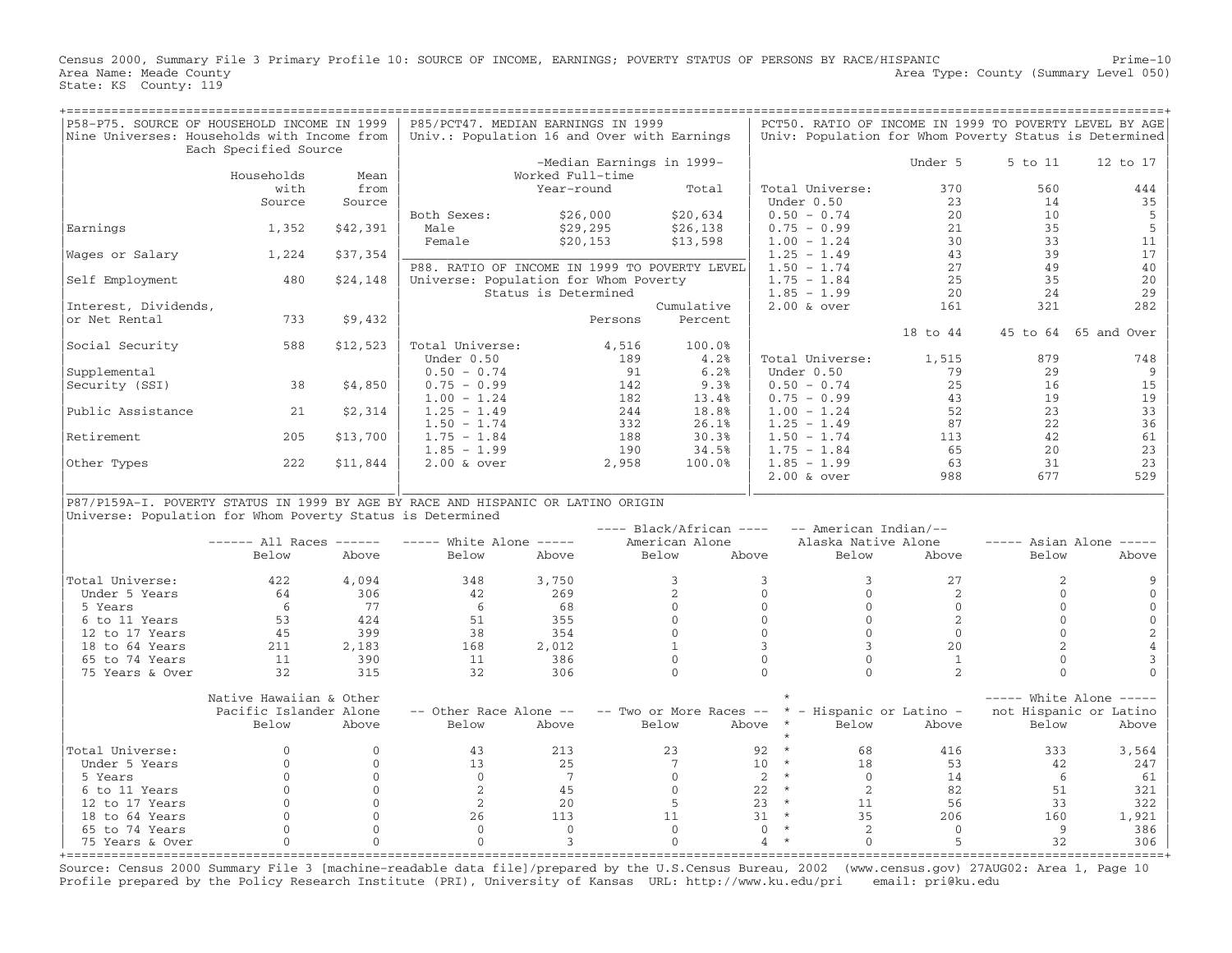Census 2000, Summary File 3 Primary Profile 10: SOURCE OF INCOME, EARNINGS; POVERTY STATUS OF PERSONS BY RACE/HISPANIC Prime−10 Area Name: Meade County **Area County** Level 050) Area Type: County (Summary Level 050) State: KS County: 119

| P58-P75. SOURCE OF HOUSEHOLD INCOME IN 1999                                      |                         |              | P85/PCT47. MEDIAN EARNINGS IN 1999            |                      |         |                           |                            |                          | PCT50. RATIO OF INCOME IN 1999 TO POVERTY LEVEL BY AGE |                                   |
|----------------------------------------------------------------------------------|-------------------------|--------------|-----------------------------------------------|----------------------|---------|---------------------------|----------------------------|--------------------------|--------------------------------------------------------|-----------------------------------|
| Nine Universes: Households with Income from                                      |                         |              | Univ.: Population 16 and Over with Earnings   |                      |         |                           |                            |                          | Univ: Population for Whom Poverty Status is Determined |                                   |
|                                                                                  | Each Specified Source   |              |                                               |                      |         |                           |                            |                          |                                                        |                                   |
|                                                                                  |                         |              |                                               |                      |         | -Median Earnings in 1999- |                            | Under 5                  | 5 to 11                                                | 12 to 17                          |
|                                                                                  | Households              | Mean         |                                               | Worked Full-time     |         |                           |                            |                          |                                                        |                                   |
|                                                                                  | with                    | from         |                                               | Year-round           |         | Total                     | Total Universe:            |                          | 370<br>560                                             | 444                               |
|                                                                                  | Source                  | Source       |                                               |                      |         |                           | Under 0.50                 |                          | 23<br>14                                               | 35                                |
|                                                                                  |                         |              | Both Sexes:                                   | \$26,000             |         | \$20,634                  | $0.50 - 0.74$              |                          | 20<br>10                                               | 5                                 |
| Earnings                                                                         | 1,352                   | \$42,391     | Male                                          | \$29,295             |         | \$26,138                  | $0.75 - 0.99$              |                          | 35<br>21                                               | 5                                 |
|                                                                                  |                         |              | Female                                        | \$20,153             |         | \$13,598                  | $1.00 - 1.24$              |                          | 30<br>33                                               | 11                                |
| Wages or Salary                                                                  | 1,224                   | \$37,354     |                                               |                      |         |                           | $1.25 - 1.49$              |                          | 43<br>39                                               | 17                                |
|                                                                                  |                         |              | P88. RATIO OF INCOME IN 1999 TO POVERTY LEVEL |                      |         |                           | $1.50 - 1.74$              |                          | 27<br>49                                               | 40                                |
| Self Employment                                                                  | 480                     | \$24,148     | Universe: Population for Whom Poverty         |                      |         |                           | $1.75 - 1.84$              |                          | 35<br>25                                               | 20                                |
|                                                                                  |                         |              |                                               | Status is Determined |         |                           | $1.85 - 1.99$              |                          | 24<br>20                                               | 29                                |
| Interest, Dividends,                                                             |                         |              |                                               |                      |         | Cumulative                |                            |                          | 161<br>321                                             | 282                               |
| or Net Rental                                                                    | 733                     | \$9,432      |                                               |                      |         | Percent                   | $2.00$ & over              |                          |                                                        |                                   |
|                                                                                  |                         |              |                                               |                      | Persons |                           |                            |                          |                                                        |                                   |
|                                                                                  |                         |              |                                               |                      |         |                           |                            | 18 to 44                 |                                                        | 45 to 64 65 and Over              |
| Social Security                                                                  | 588                     | \$12,523     | Total Universe:                               |                      | 4,516   | 100.0%                    |                            |                          |                                                        |                                   |
|                                                                                  |                         |              | Under 0.50                                    |                      | 189     | 4.2%                      | Total Universe:            | 1,515                    | 879                                                    | 748                               |
| Supplemental                                                                     |                         |              | $0.50 - 0.74$                                 |                      | 91      | 6.2%                      | Under 0.50                 |                          | 79<br>29                                               | 9                                 |
| Security (SSI)                                                                   | 38                      | \$4,850      | $0.75 - 0.99$                                 |                      | 142     | 9.3%                      | $0.50 - 0.74$              |                          | 25<br>16                                               | 15                                |
|                                                                                  |                         |              | $1.00 - 1.24$                                 |                      | 182     | 13.4%                     | $0.75 - 0.99$              |                          | 43<br>19                                               | 19                                |
| Public Assistance                                                                | 21                      | \$2,314      | $1.25 - 1.49$                                 |                      | 244     | 18.8%                     | $1.00 - 1.24$              |                          | 52<br>23                                               | 33                                |
|                                                                                  |                         |              | $1.50 - 1.74$                                 |                      | 332     | 26.1%                     | $1.25 - 1.49$              |                          | 87<br>22                                               | 36                                |
| Retirement                                                                       | 205                     | \$13,700     | $1.75 - 1.84$                                 |                      | 188     | 30.3%                     | $1.50 - 1.74$              |                          | 42<br>113                                              | 61                                |
|                                                                                  |                         |              | $1.85 - 1.99$                                 |                      | 190     | 34.5%                     | $1.75 - 1.84$              |                          | 65<br>20                                               | 23                                |
| Other Types                                                                      | 222                     | \$11,844     | $2.00$ & over                                 |                      | 2,958   | 100.0%                    | $1.85 - 1.99$              |                          | 63<br>31                                               | 23                                |
|                                                                                  |                         |              |                                               |                      |         |                           | $2.00$ & over              |                          | 988<br>677                                             | 529                               |
|                                                                                  |                         |              |                                               |                      |         |                           |                            |                          |                                                        |                                   |
| P87/P159A-I. POVERTY STATUS IN 1999 BY AGE BY RACE AND HISPANIC OR LATINO ORIGIN |                         |              |                                               |                      |         |                           |                            |                          |                                                        |                                   |
| Universe: Population for Whom Poverty Status is Determined                       |                         |              |                                               |                      |         |                           |                            |                          |                                                        |                                   |
|                                                                                  |                         |              |                                               |                      |         | $---$ Black/African $---$ |                            | -- American Indian/--    |                                                        |                                   |
|                                                                                  | $----$ All Races $----$ |              | $---$ White Alone $---$                       |                      |         | American Alone            |                            | Alaska Native Alone      |                                                        | $--- A {\bf s}$ Asian Alone $---$ |
|                                                                                  | Below                   | Above        | Below                                         | Above                |         | Below                     | Above                      | Below<br>Above           | Below                                                  | Above                             |
|                                                                                  |                         |              |                                               |                      |         |                           |                            |                          |                                                        |                                   |
| Total Universe:                                                                  | 422                     | 4,094        | 348                                           | 3,750                |         | 3                         | 3                          | $\mathbf{3}$             | 27                                                     | 2                                 |
| Under 5 Years                                                                    | 64                      | 306          | 42                                            | 269                  |         | 2                         | $\Omega$                   | $\Omega$                 | 2                                                      | $\cap$<br>$\mathbf 0$             |
| 5 Years                                                                          | 6                       | 77           | 6                                             | 68                   |         | $\Omega$                  | $\Omega$                   | $\Omega$                 | $\Omega$                                               | $\Omega$<br>$\mathbf{0}$          |
| 6 to 11 Years                                                                    | 53                      | 424          | 51                                            | 355                  |         | $\Omega$                  | $\mathbf{0}$               | $\mathbf{0}$             | 2                                                      | $\mathbf 0$<br>$\Omega$           |
| 12 to 17 Years                                                                   | 45                      | 399          | 38                                            | 354                  |         | $\Omega$                  | $\Omega$                   | $\Omega$                 | $\Omega$                                               | $\sqrt{2}$<br>$\Omega$            |
| 18 to 64 Years                                                                   | 211                     | 2,183        |                                               |                      |         | $\mathbf{1}$              | $\overline{3}$             | 3                        | 20                                                     | 2<br>$\overline{4}$               |
|                                                                                  |                         |              | 168                                           | 2,012                |         | $\Omega$                  | $\Omega$                   | $\Omega$                 |                                                        | $\Omega$                          |
| 65 to 74 Years                                                                   | 11                      | 390          | 11                                            | 386                  |         |                           | $\Omega$                   | $\bigcap$                | $\mathbf{1}$                                           | 3                                 |
| 75 Years & Over                                                                  | 32                      | 315          | 32                                            | 306                  |         | $\Omega$                  |                            |                          | $\mathfrak{D}$                                         | $\Omega$<br>$\Omega$              |
|                                                                                  |                         |              |                                               |                      |         |                           |                            |                          |                                                        |                                   |
|                                                                                  | Native Hawaiian & Other |              |                                               |                      |         |                           |                            |                          |                                                        | $---$ White Alone $---$           |
|                                                                                  | Pacific Islander Alone  |              | -- Other Race Alone --                        |                      |         | -- Two or More Races --   |                            | * - Hispanic or Latino - |                                                        | not Hispanic or Latino            |
|                                                                                  | Below                   | Above        | Below                                         | Above                |         | Below                     | Above<br>$\star$           | Below<br>Above           | Below                                                  | Above                             |
|                                                                                  |                         |              |                                               |                      |         |                           |                            |                          |                                                        |                                   |
| Total Universe:                                                                  | $\Omega$                | $\Omega$     | 43                                            | 213                  |         | 23                        | $\star$<br>92              | 68                       | 416<br>333                                             | 3,564                             |
| Under 5 Years                                                                    | $\Omega$                | $\Omega$     | 13                                            | 25                   |         | 7                         | 10 <sup>°</sup><br>$\star$ | 18                       | 53                                                     | 42<br>247                         |
| 5 Years                                                                          | $\Omega$                | $\Omega$     | $\Omega$                                      | $\overline{7}$       |         | $\Omega$                  | $\star$<br>2               | $\Omega$                 | 14                                                     | 6<br>61                           |
| 6 to 11 Years                                                                    | $\mathbf{0}$            | $\mathbf{0}$ | 2                                             | 45                   |         | $\Omega$                  | $\star$<br>22              | 2                        | 82                                                     | 51<br>321                         |
| 12 to 17 Years                                                                   | $\Omega$                | $\Omega$     | 2                                             | 20                   |         | 5                         | $\star$<br>23              | 11                       | 56                                                     | 33<br>322                         |
| 18 to 64 Years                                                                   | $\mathbf{0}$            | $\mathbf{0}$ | 26                                            | 113                  |         | 11                        | 31<br>$\star$              | 35                       | 160<br>206                                             | 1,921                             |
| 65 to 74 Years                                                                   | $\Omega$                | $\Omega$     | $\Omega$                                      | $\bigcap$            |         | $\Omega$                  | $\Omega$<br>$\star$        | $\sqrt{2}$               | $\Omega$                                               | 9<br>386                          |
| 75 Years & Over                                                                  | $\mathbf{0}$            | $\Omega$     | $\Omega$                                      | 3                    |         | $\Omega$                  | $\star$<br>$\overline{4}$  | $\Omega$                 | 5                                                      | 32<br>306                         |
|                                                                                  |                         |              |                                               |                      |         |                           |                            |                          |                                                        |                                   |

Source: Census 2000 Summary File 3 [machine−readable data file]/prepared by the U.S.Census Bureau, 2002 (www.census.gov) 27AUG02: Area 1, Page 10 Profile prepared by the Policy Research Institute (PRI), University of Kansas URL: http://www.ku.edu/pri email: pri@ku.edu